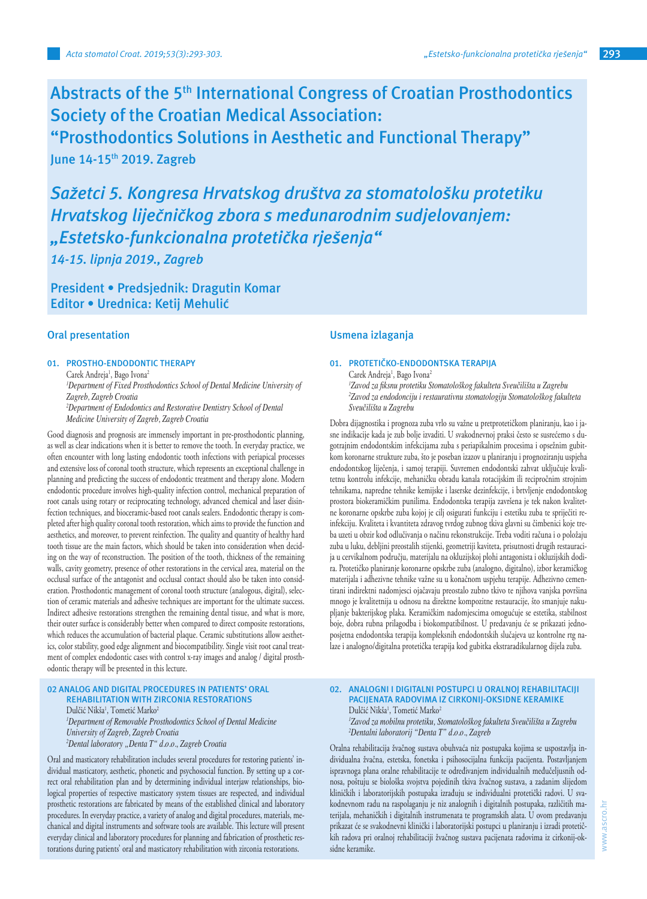**Abstracts of the 5th International Congress of Croatian Prosthodontics Society of the Croatian Medical Association:** 

**"Prosthodontics Solutions in Aesthetic and Functional Therapy" June 14-15th 2019. Zagreb** 

*Sažetci 5. Kongresa Hrvatskog društva za stomatološku protetiku Hrvatskog liječničkog zbora s međunarodnim sudjelovanjem: "Estetsko-funkcionalna protetička rješenja"*

*14-15. lipnja 2019., Zagreb*

**President • Predsjednik: Dragutin Komar Editor • Urednica: Ketij Mehulić**

# **Oral presentation**

# **01. PROSTHO-ENDODONTIC THERAPY**

Carek Andreja<sup>1</sup>, Bago Ivona<sup>2</sup> *1 Department of Fixed Prosthodontics School of Dental Medicine University of Zagreb, Zagreb Croatia 2 Department of Endodontics and Restorative Dentistry School of Dental Medicine University of Zagreb, Zagreb Croatia*

Good diagnosis and prognosis are immensely important in pre-prosthodontic planning, as well as clear indications when it is better to remove the tooth. In everyday practice, we often encounter with long lasting endodontic tooth infections with periapical processes and extensive loss of coronal tooth structure, which represents an exceptional challenge in planning and predicting the success of endodontic treatment and therapy alone. Modern endodontic procedure involves high-quality infection control, mechanical preparation of root canals using rotary or reciprocating technology, advanced chemical and laser disinfection techniques, and bioceramic-based root canals sealers. Endodontic therapy is completed after high quality coronal tooth restoration, which aims to provide the function and aesthetics, and moreover, to prevent reinfection. The quality and quantity of healthy hard tooth tissue are the main factors, which should be taken into consideration when deciding on the way of reconstruction. The position of the tooth, thickness of the remaining walls, cavity geometry, presence of other restorations in the cervical area, material on the occlusal surface of the antagonist and occlusal contact should also be taken into consideration. Prosthodontic management of coronal tooth structure (analogous, digital), selection of ceramic materials and adhesive techniques are important for the ultimate success. Indirect adhesive restorations strengthen the remaining dental tissue, and what is more, their outer surface is considerably better when compared to direct composite restorations, which reduces the accumulation of bacterial plaque. Ceramic substitutions allow aesthetics, color stability, good edge alignment and biocompatibility. Single visit root canal treatment of complex endodontic cases with control x-ray images and analog / digital prosthodontic therapy will be presented in this lecture.

#### **02 ANALOG AND DIGITAL PROCEDURES IN PATIENTS' ORAL REHABILITATION WITH ZIRCONIA RESTORATIONS**

Dulčić Nikša<sup>1</sup>, Tometić Marko<sup>2</sup> *1 Department of Removable Prosthodontics School of Dental Medicine University of Zagreb, Zagreb Croatia 2 Dental laboratory "Denta T" d.o.o., Zagreb Croatia*

Oral and masticatory rehabilitation includes several procedures for restoring patients' individual masticatory, aesthetic, phonetic and psychosocial function. By setting up a correct oral rehabilitation plan and by determining individual interjaw relationships, biological properties of respective masticatory system tissues are respected, and individual prosthetic restorations are fabricated by means of the established clinical and laboratory procedures. In everyday practice, a variety of analog and digital procedures, materials, mechanical and digital instruments and software tools are available. This lecture will present everyday clinical and laboratory procedures for planning and fabrication of prosthetic restorations during patients' oral and masticatory rehabilitation with zirconia restorations.

## **Usmena izlaganja**

## **01. PROTETIČKO-ENDODONTSKA TERAPIJA**

Carek Andreja<sup>1</sup>, Bago Ivona<sup>2</sup> *1 Zavod za fiksnu protetiku Stomatološkog fakulteta Sveučilišta u Zagrebu 2 Zavod za endodonciju i restaurativnu stomatologiju Stomatološkog fakulteta Sveučilišta u Zagrebu*

Dobra dijagnostika i prognoza zuba vrlo su važne u pretprotetičkom planiranju, kao i jasne indikacije kada je zub bolje izvaditi. U svakodnevnoj praksi često se susrećemo s dugotrajnim endodontskim infekcijama zuba s periapikalnim procesima i opsežnim gubitkom koronarne strukture zuba, što je poseban izazov u planiranju i prognoziranju uspjeha endodontskog liječenja, i samoj terapiji. Suvremen endodontski zahvat uključuje kvalitetnu kontrolu infekcije, mehaničku obradu kanala rotacijskim ili recipročnim strojnim tehnikama, napredne tehnike kemijske i laserske dezinfekcije, i brtvljenje endodontskog prostora biokeramičkim punilima. Endodontska terapija završena je tek nakon kvalitetne koronarne opskrbe zuba kojoj je cilj osigurati funkciju i estetiku zuba te spriječiti reinfekciju. Kvaliteta i kvantiteta zdravog tvrdog zubnog tkiva glavni su čimbenici koje treba uzeti u obzir kod odlučivanja o načinu rekonstrukcije. Treba voditi računa i o položaju zuba u luku, debljini preostalih stijenki, geometriji kaviteta, prisutnosti drugih restauracija u cervikalnom području, materijalu na okluzijskoj plohi antagonista i okluzijskih dodira. Protetičko planiranje koronarne opskrbe zuba (analogno, digitalno), izbor keramičkog materijala i adhezivne tehnike važne su u konačnom uspjehu terapije. Adhezivno cementirani indirektni nadomjesci ojačavaju preostalo zubno tkivo te njihova vanjska površina mnogo je kvalitetnija u odnosu na direktne kompozitne restauracije, što smanjuje nakupljanje bakterijskog plaka. Keramičkim nadomjescima omogućuje se estetika, stabilnost boje, dobra rubna prilagodba i biokompatibilnost. U predavanju će se prikazati jednoposjetna endodontska terapija kompleksnih endodontskih slučajeva uz kontrolne rtg nalaze i analogno/digitalna protetička terapija kod gubitka ekstraradikularnog dijela zuba.

## **02. ANALOGNI I DIGITALNI POSTUPCI U ORALNOJ REHABILITACIJI PACIJENATA RADOVIMA IZ CIRKONIJ-OKSIDNE KERAMIKE** Dulčić Nikša<sup>1</sup>, Tometić Marko<sup>2</sup> *1 Zavod za mobilnu protetiku, Stomatološkog fakulteta Sveučilišta u Zagrebu 2 Dentalni laboratorij "Denta T" d.o.o., Zagreb*

Oralna rehabilitacija žvačnog sustava obuhvaća niz postupaka kojima se uspostavlja individualna žvačna, estetska, fonetska i psihosocijalna funkcija pacijenta. Postavljanjem ispravnoga plana oralne rehabilitacije te određivanjem individualnih međučeljusnih odnosa, poštuju se biološka svojstva pojedinih tkiva žvačnog sustava, a zadanim slijedom kliničkih i laboratorijskih postupaka izrađuju se individualni protetički radovi. U svakodnevnom radu na raspolaganju je niz analognih i digitalnih postupaka, različitih materijala, mehaničkih i digitalnih instrumenata te programskih alata. U ovom predavanju prikazat će se svakodnevni klinički i laboratorijski postupci u planiranju i izradi protetičkih radova pri oralnoj rehabilitaciji žvačnog sustava pacijenata radovima iz cirkonij-oksidne keramike.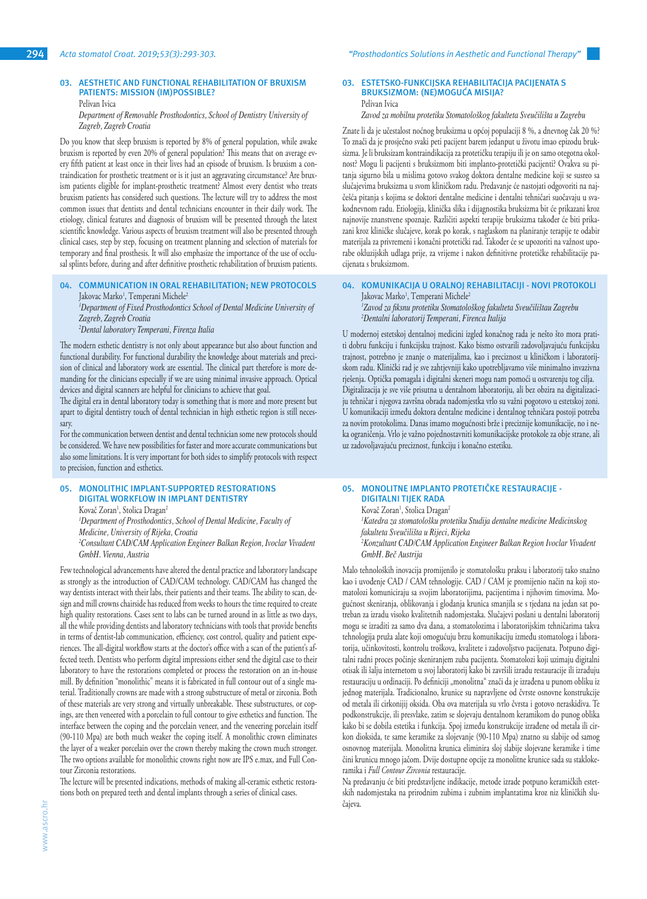# **03. AESTHETIC AND FUNCTIONAL REHABILITATION OF BRUXISM PATIENTS: MISSION (IM)POSSIBLE?**

Pelivan Ivica

*Department of Removable Prosthodontics, School of Dentistry University of Zagreb, Zagreb Croatia*

Do you know that sleep bruxism is reported by 8% of general population, while awake bruxism is reported by even 20% of general population? This means that on average every fifth patient at least once in their lives had an episode of bruxism. Is bruxism a contraindication for prosthetic treatment or is it just an aggravating circumstance? Are bruxism patients eligible for implant-prosthetic treatment? Almost every dentist who treats bruxism patients has considered such questions. The lecture will try to address the most common issues that dentists and dental technicians encounter in their daily work. The etiology, clinical features and diagnosis of bruxism will be presented through the latest scientific knowledge. Various aspects of bruxism treatment will also be presented through clinical cases, step by step, focusing on treatment planning and selection of materials for temporary and final prosthesis. It will also emphasize the importance of the use of occlusal splints before, during and after definitive prosthetic rehabilitation of bruxism patients.

## **04. COMMUNICATION IN ORAL REHABILITATION; NEW PROTOCOLS** Jakovac Marko<sup>1</sup>, Temperani Michele<sup>2</sup>

<sup>1</sup>Department of Fixed Prosthodontics School of Dental Medicine University of *Zagreb, Zagreb Croatia*

*2 Dental laboratory Temperani, Firenza Italia*

The modern esthetic dentistry is not only about appearance but also about function and functional durability. For functional durability the knowledge about materials and precision of clinical and laboratory work are essential. The clinical part therefore is more demanding for the clinicians especially if we are using minimal invasive approach. Optical devices and digital scanners are helpful for clinicians to achieve that goal.

The digital era in dental laboratory today is something that is more and more present but apart to digital dentistry touch of dental technician in high esthetic region is still necessary.

For the communication between dentist and dental technician some new protocols should be considered. We have new possibilities for faster and more accurate communications but also some limitations. It is very important for both sides to simplify protocols with respect to precision, function and esthetics.

## **05. MONOLITHIC IMPLANT-SUPPORTED RESTORATIONS DIGITAL WORKFLOW IN IMPLANT DENTISTRY**

Kovač Zoran<sup>1</sup>, Stolica Dragan<sup>2</sup>

*1 Department of Prosthodontics, School of Dental Medicine, Faculty of Medicine, University of Rijeka, Croatia 2 Consultant CAD/CAM Application Engineer Balkan Region, Ivoclar Vivadent GmbH. Vienna, Austria*

Few technological advancements have altered the dental practice and laboratory landscape as strongly as the introduction of CAD/CAM technology. CAD/CAM has changed the way dentists interact with their labs, their patients and their teams. The ability to scan, design and mill crowns chairside has reduced from weeks to hours the time required to create high quality restorations. Cases sent to labs can be turned around in as little as two days, all the while providing dentists and laboratory technicians with tools that provide benefits in terms of dentist-lab communication, efficiency, cost control, quality and patient experiences. The all-digital workflow starts at the doctor's office with a scan of the patient's affected teeth. Dentists who perform digital impressions either send the digital case to their laboratory to have the restorations completed or process the restoration on an in-house mill. By definition "monolithic" means it is fabricated in full contour out of a single material. Traditionally crowns are made with a strong substructure of metal or zirconia. Both of these materials are very strong and virtually unbreakable. These substructures, or copings, are then veneered with a porcelain to full contour to give esthetics and function. The interface between the coping and the porcelain veneer, and the veneering porcelain itself (90-110 Mpa) are both much weaker the coping itself. A monolithic crown eliminates the layer of a weaker porcelain over the crown thereby making the crown much stronger. The two options available for monolithic crowns right now are IPS e.max, and Full Contour Zirconia restorations.

The lecture will be presented indications, methods of making all-ceramic esthetic restorations both on prepared teeth and dental implants through a series of clinical cases.

#### **03. ESTETSKO-FUNKCIJSKA REHABILITACIJA PACIJENATA S BRUKSIZMOM: (NE)MOGUĆA MISIJA?** Pelivan Ivica

*Zavod za mobilnu protetiku Stomatološkog fakulteta Sveučilišta u Zagrebu*

Znate li da je učestalost noćnog bruksizma u općoj populaciji 8 %, a dnevnog čak 20 %? To znači da je prosječno svaki peti pacijent barem jedanput u životu imao epizodu bruksizma. Je li bruksizam kontraindikacija za protetičku terapiju ili je on samo otegotna okolnost? Mogu li pacijenti s bruksizmom biti implanto-protetički pacijenti? Ovakva su pitanja sigurno bila u mislima gotovo svakog doktora dentalne medicine koji se susreo sa slučajevima bruksizma u svom kliničkom radu. Predavanje će nastojati odgovoriti na najčešća pitanja s kojima se doktori dentalne medicine i dentalni tehničari suočavaju u svakodnevnom radu. Etiologija, klinička slika i dijagnostika bruksizma bit će prikazani kroz najnovije znanstvene spoznaje. Različiti aspekti terapije bruksizma također će biti prikazani kroz kliničke slučajeve, korak po korak, s naglaskom na planiranje terapije te odabir materijala za privremeni i konačni protetički rad. Također će se upozoriti na važnost uporabe okluzijskih udlaga prije, za vrijeme i nakon definitivne protetičke rehabilitacije pacijenata s bruksizmom.

## **04. KOMUNIKACIJA U ORALNOJ REHABILITACIJI - NOVI PROTOKOLI** Jakovac Marko<sup>1</sup>, Temperani Michele<sup>.</sup>

*1 Zavod za fiksnu protetiku Stomatološkog fakulteta Sveučilištau Zagrebu 2 Dentalni laboratorij Temperani, Firenca Italija*

U modernoj estetskoj dentalnoj medicini izgled konačnog rada je nešto što mora pratiti dobru funkciju i funkcijsku trajnost. Kako bismo ostvarili zadovoljavajuću funkcijsku trajnost, potrebno je znanje o materijalima, kao i preciznost u kliničkom i laboratorijskom radu. Klinički rad je sve zahtjevniji kako upotrebljavamo više minimalno invazivna rješenja. Optička pomagala i digitalni skeneri mogu nam pomoći u ostvarenju tog cilja. Digitalizacija je sve više prisutna u dentalnom laboratoriju, ali bez obzira na digitalizaciju tehničar i njegova završna obrada nadomjestka vrlo su važni pogotovo u estetskoj zoni. U komunikaciji između doktora dentalne medicine i dentalnog tehničara postoji potreba za novim protokolima. Danas imamo mogućnosti brže i preciznije komunikacije, no i neka ograničenja. Vrlo je važno pojednostavniti komunikacijske protokole za obje strane, ali uz zadovoljavajuću preciznost, funkciju i konačno estetiku.

#### **05. MONOLITNE IMPLANTO PROTETIČKE RESTAURACIJE - DIGITALNI TIJEK RADA**

Kovač Zoran<sup>1</sup>, Stolica Dragan<sup>2</sup>

*1 Katedra za stomatološku protetiku Studija dentalne medicine Medicinskog fakulteta Sveučilišta u Rijeci, Rijeka*

*2 Konzultant CAD/CAM Application Engineer Balkan Region Ivoclar Vivadent GmbH. Beč Austrija*

Malo tehnoloških inovacija promijenilo je stomatološku praksu i laboratorij tako snažno kao i uvođenje CAD / CAM tehnologije. CAD / CAM je promijenio način na koji stomatolozi komuniciraju sa svojim laboratorijima, pacijentima i njihovim timovima. Mogućnost skeniranja, oblikovanja i glodanja krunica smanjila se s tjedana na jedan sat potreban za izradu visoko kvalitetnih nadomjestaka. Slučajevi poslani u dentalni laboratorij mogu se izraditi za samo dva dana, a stomatolozima i laboratorijskim tehničarima takva tehnologija pruža alate koji omogućuju brzu komunikaciju između stomatologa i laboratorija, učinkovitosti, kontrolu troškova, kvalitete i zadovoljstvo pacijenata. Potpuno digitalni radni proces počinje skeniranjem zuba pacijenta. Stomatolozi koji uzimaju digitalni otisak ili šalju internetom u svoj laboratorij kako bi završili izradu restauracije ili izraduju restauraciju u ordinaciji. Po definiciji "monolitna" znači da je izrađena u punom obliku iz jednog materijala. Tradicionalno, krunice su napravljene od čvrste osnovne konstrukcije od metala ili cirkonijij oksida. Oba ova materijala su vrlo čvrsta i gotovo neraskidiva. Te podkonstrukcije, ili presvlake, zatim se slojevaju dentalnom keramikom do punog oblika kako bi se dobila estetika i funkcija. Spoj između konstrukcije izrađene od metala ili cirkon dioksida, te same keramike za slojevanje (90-110 Mpa) znatno su slabije od samog osnovnog materijala. Monolitna krunica eliminira sloj slabije slojevane keramike i time čini krunicu mnogo jačom. Dvije dostupne opcije za monolitne krunice sada su staklokeramika i *Full Contour Zirconia* restauracije.

Na predavanju će biti predstavljene indikacije, metode izrade potpuno keramičkih estetskih nadomjestaka na prirodnim zubima i zubnim implantatima kroz niz kliničkih slučajeva.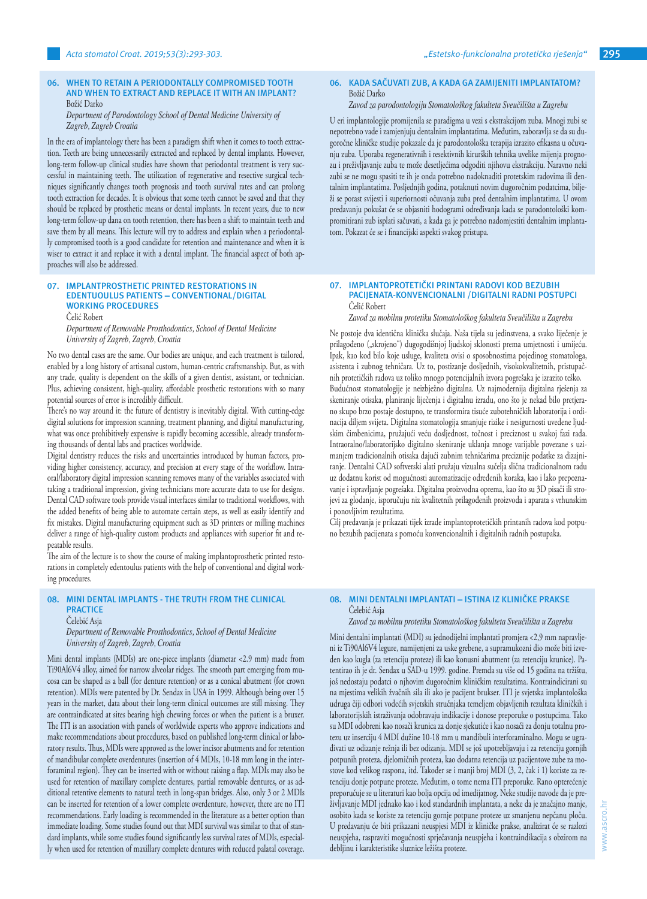### **06. WHEN TO RETAIN A PERIODONTALLY COMPROMISED TOOTH AND WHEN TO EXTRACT AND REPLACE IT WITH AN IMPLANT?** Božić Darko

## *Department of Parodontology School of Dental Medicine University of Zagreb, Zagreb Croatia*

In the era of implantology there has been a paradigm shift when it comes to tooth extraction. Teeth are being unnecessarily extracted and replaced by dental implants. However, long-term follow-up clinical studies have shown that periodontal treatment is very successful in maintaining teeth. The utilization of regenerative and resective surgical techniques significantly changes tooth prognosis and tooth survival rates and can prolong tooth extraction for decades. It is obvious that some teeth cannot be saved and that they should be replaced by prosthetic means or dental implants. In recent years, due to new long-term follow-up dana on tooth retention, there has been a shift to maintain teeth and save them by all means. This lecture will try to address and explain when a periodontally compromised tooth is a good candidate for retention and maintenance and when it is wiser to extract it and replace it with a dental implant. The financial aspect of both approaches will also be addressed.

## **07. IMPLANTPROSTHETIC PRINTED RESTORATIONS IN EDENTUOULUS PATIENTS – CONVENTIONAL/DIGITAL WORKING PROCEDURES**

Čelić Robert

*Department of Removable Prosthodontics, School of Dental Medicine University of Zagreb, Zagreb, Croatia*

No two dental cases are the same. Our bodies are unique, and each treatment is tailored, enabled by a long history of artisanal custom, human-centric craftsmanship. But, as with any trade, quality is dependent on the skills of a given dentist, assistant, or technician. Plus, achieving consistent, high-quality, affordable prosthetic restorations with so many potential sources of error is incredibly difficult.

There's no way around it: the future of dentistry is inevitably digital. With cutting-edge digital solutions for impression scanning, treatment planning, and digital manufacturing, what was once prohibitively expensive is rapidly becoming accessible, already transforming thousands of dental labs and practices worldwide.

Digital dentistry reduces the risks and uncertainties introduced by human factors, providing higher consistency, accuracy, and precision at every stage of the workflow. Intraoral/laboratory digital impression scanning removes many of the variables associated with taking a traditional impression, giving technicians more accurate data to use for designs. Dental CAD software tools provide visual interfaces similar to traditional workflows, with the added benefits of being able to automate certain steps, as well as easily identify and fix mistakes. Digital manufacturing equipment such as 3D printers or milling machines deliver a range of high-quality custom products and appliances with superior fit and repeatable results.

The aim of the lecture is to show the course of making implantoprosthetic printed restorations in completely edentoulus patients with the help of conventional and digital working procedures.

# **08. MINI DENTAL IMPLANTS - THE TRUTH FROM THE CLINICAL PRACTICE**

Čelebić Asja

*Department of Removable Prosthodontics, School of Dental Medicine University of Zagreb, Zagreb, Croatia*

Mini dental implants (MDIs) are one-piece implants (diametar <2.9 mm) made from Ti90Al6V4 alloy, aimed for narrow alveolar ridges. The smooth part emerging from mucosa can be shaped as a ball (for denture retention) or as a conical abutment (for crown retention). MDIs were patented by Dr. Sendax in USA in 1999. Although being over 15 years in the market, data about their long-term clinical outcomes are still missing. They are contraindicated at sites bearing high chewing forces or when the patient is a bruxer. The ITI is an association with panels of worldwide experts who approve indications and make recommendations about procedures, based on published long-term clinical or laboratory results. Thus, MDIs were approved as the lower incisor abutments and for retention of mandibular complete overdentures (insertion of 4 MDIs, 10-18 mm long in the interforaminal region). They can be inserted with or without raising a flap. MDIs may also be used for retention of maxillary complete dentures, partial removable dentures, or as additional retentive elements to natural teeth in long-span bridges. Also, only 3 or 2 MDIs can be inserted for retention of a lower complete overdenture, however, there are no ITI recommendations. Early loading is recommended in the literature as a better option than immediate loading. Some studies found out that MDI survival was similar to that of standard implants, while some studies found significantly less survival rates of MDIs, especially when used for retention of maxillary complete dentures with reduced palatal coverage.

# **06. KADA SAČUVATI ZUB, A KADA GA ZAMIJENITI IMPLANTATOM?**  Božić Darko

## *Zavod za parodontologiju Stomatološkog fakulteta Sveučilišta u Zagrebu*

U eri implantologije promijenila se paradigma u vezi s ekstrakcijom zuba. Mnogi zubi se nepotrebno vade i zamjenjuju dentalnim implantatima. Međutim, zaboravlja se da su dugoročne kliničke studije pokazale da je parodontološka terapija izrazito efikasna u očuvanju zuba. Uporaba regenerativnih i resektivnih kirurških tehnika uvelike mijenja prognozu i preživljavanje zuba te može desetljećima odgoditi njihovu ekstrakciju. Naravno neki zubi se ne mogu spasiti te ih je onda potrebno nadoknaditi protetskim radovima ili dentalnim implantatima. Posljednjih godina, potaknuti novim dugoročnim podatcima, bilježi se porast svijesti i superiornosti očuvanja zuba pred dentalnim implantatima. U ovom predavanju pokušat će se objasniti hodogrami određivanja kada se parodontološki kompromitirani zub isplati sačuvati, a kada ga je potrebno nadomjestiti dentalnim implantatom. Pokazat će se i financijski aspekti svakog pristupa.

## **07. IMPLANTOPROTETIČKI PRINTANI RADOVI KOD BEZUBIH PACIJENATA-KONVENCIONALNI /DIGITALNI RADNI POSTUPCI** Čelić Robert

*Zavod za mobilnu protetiku Stomatološkog fakulteta Sveučilišta u Zagrebu*

Ne postoje dva identična klinička slučaja. Naša tijela su jedinstvena, a svako liječenje je prilagođeno ("skrojeno") dugogodišnjoj ljudskoj sklonosti prema umjetnosti i umijeću. Ipak, kao kod bilo koje usluge, kvaliteta ovisi o sposobnostima pojedinog stomatologa, asistenta i zubnog tehničara. Uz to, postizanje dosljednih, visokokvalitetnih, pristupačnih protetičkih radova uz toliko mnogo potencijalnih izvora pogrešaka je izrazito teško. Budućnost stomatologije je neizbježno digitalna. Uz najmodernija digitalna rješenja za skeniranje otisaka, planiranje liječenja i digitalnu izradu, ono što je nekad bilo pretjerano skupo brzo postaje dostupno, te transformira tisuće zubotehničkih laboratorija i ordinacija diljem svijeta. Digitalna stomatologija smanjuje rizike i nesigurnosti uvedene ljudskim čimbenicima, pružajući veću dosljednost, točnost i preciznost u svakoj fazi rada. Intraoralno/laboratorijsko digitalno skeniranje uklanja mnoge varijable povezane s uzimanjem tradicionalnih otisaka dajući zubnim tehničarima preciznije podatke za dizajniranje. Dentalni CAD softverski alati pružaju vizualna sučelja slična tradicionalnom radu uz dodatnu korist od mogućnosti automatizacije određenih koraka, kao i lako prepoznavanje i ispravljanje pogrešaka. Digitalna proizvodna oprema, kao što su 3D pisači ili strojevi za glodanje, isporučuju niz kvalitetnih prilagođenih proizvoda i aparata s vrhunskim i ponovljivim rezultatima.

Cilj predavanja je prikazati tijek izrade implantoprotetičkih printanih radova kod potpuno bezubih pacijenata s pomoću konvencionalnih i digitalnih radnih postupaka.

## **08. MINI DENTALNI IMPLANTATI – ISTINA IZ KLINIČKE PRAKSE** Čelebić Asja

*Zavod za mobilnu protetiku Stomatološkog fakulteta Sveučilišta u Zagrebu*

Mini dentalni implantati (MDI) su jednodijelni implantati promjera <2,9 mm napravljeni iz Ti90Al6V4 legure, namijenjeni za uske grebene, a supramukozni dio može biti izveden kao kugla (za retenciju proteze) ili kao konusni abutment (za retenciju krunice). Patentirao ih je dr. Sendax u SAD-u 1999. godine. Premda su više od 15 godina na tržištu, još nedostaju podatci o njhovim dugoročnim kliničkim rezultatima. Kontraindicirani su na mjestima velikih žvačnih sila ili ako je pacijent brukser. ITI je svjetska implantološka udruga čiji odbori vodećih svjetskih stručnjaka temeljem objavljenih rezultata kliničkih i laboratorijskih istraživanja odobravaju indikacije i donose preporuke o postupcima. Tako su MDI odobreni kao nosači krunica za donje sjekutiće i kao nosači za donju totalnu protezu uz inserciju 4 MDI dužine 10-18 mm u mandibuli interforaminalno. Mogu se ugrađivati uz odizanje režnja ili bez odizanja. MDI se još upotrebljavaju i za retenciju gornjih potpunih proteza, djelomičnih proteza, kao dodatna retencija uz pacijentove zube za mostove kod velikog raspona, itd. Također se i manji broj MDI (3, 2, čak i 1) koriste za retenciju donje potpune proteze. Međutim, o tome nema ITI preporuke. Rano opterećenje preporučuje se u literaturi kao bolja opcija od imedijatnog. Neke studije navode da je preživljavanje MDI jednako kao i kod standardnih implantata, a neke da je značajno manje, osobito kada se koriste za retenciju gornje potpune proteze uz smanjenu nepčanu ploču. U predavanju će biti prikazani neuspjesi MDI iz kliničke prakse, analizirat će se razlozi neuspjeha, raspraviti mogućnosti sprječavanja neuspjeha i kontraindikacija s obzirom na debljinu i karakteristike sluznice ležišta proteze.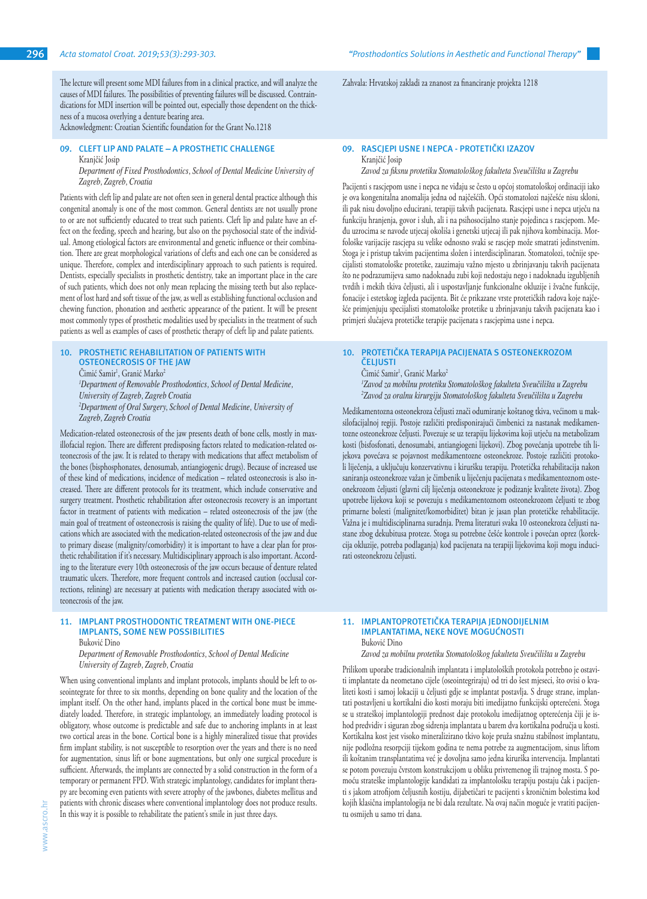The lecture will present some MDI failures from in a clinical practice, and will analyze the causes of MDI failures. The possibilities of preventing failures will be discussed. Contraindications for MDI insertion will be pointed out, especially those dependent on the thickness of a mucosa overlying a denture bearing area.

Acknowledgment: Croatian Scientific foundation for the Grant No.1218

## **09. CLEFT LIP AND PALATE – A PROSTHETIC CHALLENGE** Kranjčić Josip

*Department of Fixed Prosthodontics, School of Dental Medicine University of Zagreb, Zagreb, Croatia*

Patients with cleft lip and palate are not often seen in general dental practice although this congenital anomaly is one of the most common. General dentists are not usually prone to or are not sufficiently educated to treat such patients. Cleft lip and palate have an effect on the feeding, speech and hearing, but also on the psychosocial state of the individual. Among etiological factors are environmental and genetic influence or their combination. There are great morphological variations of clefts and each one can be considered as unique. Therefore, complex and interdisciplinary approach to such patients is required. Dentists, especially specialists in prosthetic dentistry, take an important place in the care of such patients, which does not only mean replacing the missing teeth but also replacement of lost hard and soft tissue of the jaw, as well as establishing functional occlusion and chewing function, phonation and aesthetic appearance of the patient. It will be present most commonly types of prosthetic modalities used by specialists in the treatment of such patients as well as examples of cases of prosthetic therapy of cleft lip and palate patients.

#### **10. PROSTHETIC REHABILITATION OF PATIENTS WITH OSTEONECROSIS OF THE JAW**

Cimić Samir<sup>1</sup>, Granić Marko<sup>2</sup> *1 Department of Removable Prosthodontics, School of Dental Medicine, University of Zagreb, Zagreb Croatia 2 Department of Oral Surgery, School of Dental Medicine, University of Zagreb, Zagreb Croatia*

Medication-related osteonecrosis of the jaw presents death of bone cells, mostly in maxillofacial region. There are different predisposing factors related to medication-related osteonecrosis of the jaw. It is related to therapy with medications that affect metabolism of the bones (bisphosphonates, denosumab, antiangiogenic drugs). Because of increased use of these kind of medications, incidence of medication – related osteonecrosis is also increased. There are different protocols for its treatment, which include conservative and surgery treatment. Prosthetic rehabilitation after osteonecrosis recovery is an important factor in treatment of patients with medication – related osteonecrosis of the jaw (the main goal of treatment of osteonecrosis is raising the quality of life). Due to use of medications which are associated with the medication-related osteonecrosis of the jaw and due to primary disease (malignity/comorbidity) it is important to have a clear plan for prosthetic rehabilitation if it's necessary. Multidisciplinary approach is also important. According to the literature every 10th osteonecrosis of the jaw occurs because of denture related traumatic ulcers. Therefore, more frequent controls and increased caution (occlusal corrections, relining) are necessary at patients with medication therapy associated with osteonecrosis of the jaw.

# **11. IMPLANT PROSTHODONTIC TREATMENT WITH ONE-PIECE IMPLANTS, SOME NEW POSSIBILITIES**

Buković Dino

*Department of Removable Prosthodontics, School of Dental Medicine University of Zagreb, Zagreb, Croatia*

When using conventional implants and implant protocols, implants should be left to osseointegrate for three to six months, depending on bone quality and the location of the implant itself. On the other hand, implants placed in the cortical bone must be immediately loaded. Therefore, in strategic implantology, an immediately loading protocol is obligatory, whose outcome is predictable and safe due to anchoring implants in at least two cortical areas in the bone. Cortical bone is a highly mineralized tissue that provides firm implant stability, is not susceptible to resorption over the years and there is no need for augmentation, sinus lift or bone augmentations, but only one surgical procedure is sufficient. Afterwards, the implants are connected by a solid construction in the form of a temporary or permanent FPD. With strategic implantology, candidates for implant therapy are becoming even patients with severe atrophy of the jawbones, diabetes mellitus and patients with chronic diseases where conventional implantology does not produce results. In this way it is possible to rehabilitate the patient's smile in just three days.

Zahvala: Hrvatskoj zakladi za znanost za financiranje projekta 1218

#### **09. RASCJEPI USNE I NEPCA - PROTETIČKI IZAZOV** Kranjčić Josip

*Zavod za fiksnu protetiku Stomatološkog fakulteta Sveučilišta u Zagrebu*

Pacijenti s rascjepom usne i nepca ne viđaju se često u općoj stomatološkoj ordinaciji iako je ova kongenitalna anomalija jedna od najčešćih. Opći stomatolozi najčešće nisu skloni, ili pak nisu dovoljno educirani, terapiji takvih pacijenata. Rascjepi usne i nepca utječu na funkciju hranjenja, govor i sluh, ali i na psihosocijalno stanje pojedinca s rascjepom. Među uzrocima se navode utjecaj okoliša i genetski utjecaj ili pak njihova kombinacija. Morfološke varijacije rascjepa su velike odnosno svaki se rascjep može smatrati jedinstvenim. Stoga je i pristup takvim pacijentima složen i interdisciplinaran. Stomatolozi, točnije specijalisti stomatološke protetike, zauzimaju važno mjesto u zbrinjavanju takvih pacijenata što ne podrazumijeva samo nadoknadu zubi koji nedostaju nego i nadoknadu izgubljenih tvrdih i mekih tkiva čeljusti, ali i uspostavljanje funkcionalne okluzije i žvačne funkcije, fonacije i estetskog izgleda pacijenta. Bit će prikazane vrste protetičkih radova koje najčešće primjenjuju specijalisti stomatološke protetike u zbrinjavanju takvih pacijenata kao i primjeri slučajeva protetičke terapije pacijenata s rascjepima usne i nepca.

## **10. PROTETIČKA TERAPIJA PACIJENATA S OSTEONEKROZOM ČELJUSTI**

Cimić Samir<sup>1</sup>, Granić Marko<sup>2</sup>

*1 Zavod za mobilnu protetiku Stomatološkog fakulteta Sveučilišta u Zagrebu 2 Zavod za oralnu kirurgiju Stomatološkog fakulteta Sveučilišta u Zagrebu*

Medikamentozna osteonekroza čeljusti znači odumiranje koštanog tkiva, većinom u maksilofacijalnoj regiji. Postoje različiti predisponirajući čimbenici za nastanak medikamentozne osteonekroze čeljusti. Povezuje se uz terapiju lijekovima koji utječu na metabolizam kosti (bisfosfonati, denosumabi, antiangiogeni lijekovi). Zbog povećanja upotrebe tih lijekova povećava se pojavnost medikamentozne osteonekroze. Postoje različiti protokoli liječenja, a uključuju konzervativnu i kiruršku terapiju. Protetička rehabilitacija nakon saniranja osteonekroze važan je čimbenik u liječenju pacijenata s medikamentoznom osteonekrozom čeljusti (glavni cilj liječenja osteonekroze je podizanje kvalitete života). Zbog upotrebe lijekova koji se povezuju s medikamentoznom osteonekrozom čeljusti te zbog primarne bolesti (malignitet/komorbiditet) bitan je jasan plan protetičke rehabilitacije. Važna je i multidisciplinarna suradnja. Prema literaturi svaka 10 osteonekroza čeljusti nastane zbog dekubitusa proteze. Stoga su potrebne češće kontrole i povećan oprez (korekcija okluzije, potreba podlaganja) kod pacijenata na terapiji lijekovima koji mogu inducirati osteonekrozu čeljusti.

### **11. IMPLANTOPROTETIČKA TERAPIJA JEDNODIJELNIM IMPLANTATIMA, NEKE NOVE MOGUĆNOSTI** Buković Dino

*Zavod za mobilnu protetiku Stomatološkog fakulteta Sveučilišta u Zagrebu*

Prilikom uporabe tradicionalnih implantata i implatoloških protokola potrebno je ostaviti implantate da neometano cijele (oseointegriraju) od tri do šest mjeseci, što ovisi o kvaliteti kosti i samoj lokaciji u čeljusti gdje se implantat postavlja. S druge strane, implantati postavljeni u kortikalni dio kosti moraju biti imedijatno funkcijski opterećeni. Stoga se u strateškoj implantologiji prednost daje protokolu imedijatnog opterećenja čiji je ishod predvidiv i siguran zbog sidrenja implantata u barem dva kortikalna područja u kosti. Kortikalna kost jest visoko mineralizirano tkivo koje pruža snažnu stabilnost implantatu, nije podložna resorpciji tijekom godina te nema potrebe za augmentacijom, sinus liftom ili koštanim transplantatima već je dovoljna samo jedna kirurška intervencija. Implantati se potom povezuju čvrstom konstrukcijom u obliku privremenog ili trajnog mosta. S pomoću strateške implantologije kandidati za implantološku terapiju postaju čak i pacijenti s jakom atrofijom čeljusnih kostiju, dijabetičari te pacijenti s kroničnim bolestima kod kojih klasična implantologija ne bi dala rezultate. Na ovaj način moguće je vratiti pacijentu osmijeh u samo tri dana.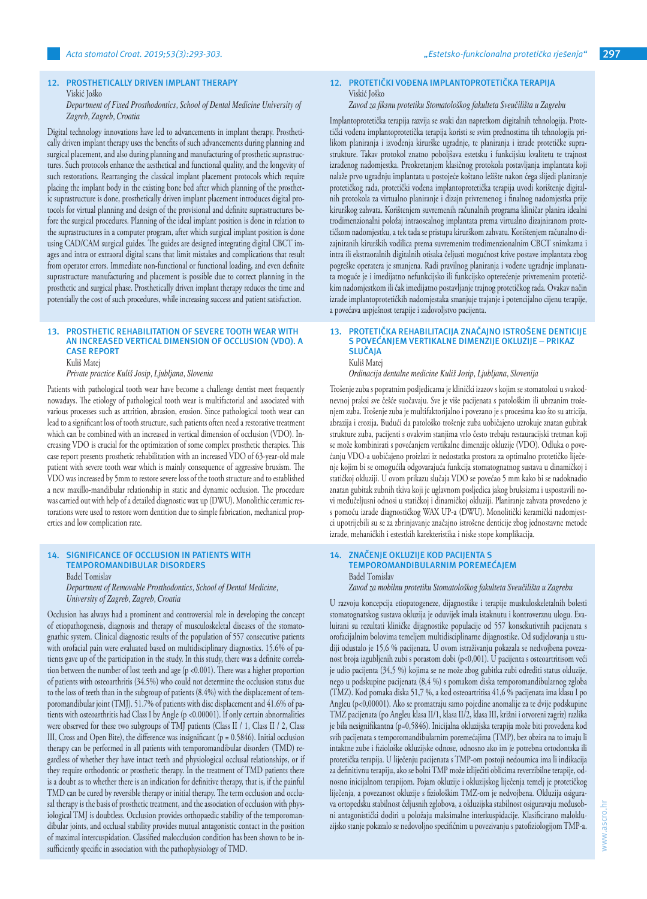#### **12. PROSTHETICALLY DRIVEN IMPLANT THERAPY** Viskić Joško

## *Department of Fixed Prosthodontics, School of Dental Medicine University of Zagreb, Zagreb, Croatia*

Digital technology innovations have led to advancements in implant therapy. Prosthetically driven implant therapy uses the benefits of such advancements during planning and surgical placement, and also during planning and manufacturing of prosthetic suprastructures. Such protocols enhance the aesthetical and functional quality, and the longevity of such restorations. Rearranging the classical implant placement protocols which require placing the implant body in the existing bone bed after which planning of the prosthetic suprastructure is done, prosthetically driven implant placement introduces digital protocols for virtual planning and design of the provisional and definite suprastructures before the surgical procedures. Planning of the ideal implant position is done in relation to the suprastructures in a computer program, after which surgical implant position is done using CAD/CAM surgical guides. The guides are designed integrating digital CBCT images and intra or extraoral digital scans that limit mistakes and complications that result from operator errors. Immediate non-functional or functional loading, and even definite suprastructure manufacturing and placement is possible due to correct planning in the prosthetic and surgical phase. Prosthetically driven implant therapy reduces the time and potentially the cost of such procedures, while increasing success and patient satisfaction.

## **13. PROSTHETIC REHABILITATION OF SEVERE TOOTH WEAR WITH AN INCREASED VERTICAL DIMENSION OF OCCLUSION (VDO). A CASE REPORT**

Kuliš Matej

*Private practice Kuliš Josip, Ljubljana, Slovenia*

Patients with pathological tooth wear have become a challenge dentist meet frequently nowadays. The etiology of pathological tooth wear is multifactorial and associated with various processes such as attrition, abrasion, erosion. Since pathological tooth wear can lead to a significant loss of tooth structure, such patients often need a restorative treatment which can be combined with an increased in vertical dimension of occlusion (VDO). Increasing VDO is crucial for the optimization of some complex prosthetic therapies. This case report presents prosthetic rehabilitation with an increased VDO of 63-year-old male patient with severe tooth wear which is mainly consequence of aggressive bruxism. The VDO was increased by 5mm to restore severe loss of the tooth structure and to established a new maxillo-mandibular relationship in static and dynamic occlusion. The procedure was carried out with help of a detailed diagnostic wax up (DWU). Monolithic ceramic restorations were used to restore worn dentition due to simple fabrication, mechanical properties and low complication rate.

## **14. SIGNIFICANCE OF OCCLUSION IN PATIENTS WITH TEMPOROMANDIBULAR DISORDERS** Badel Tomislav

*Department of Removable Prosthodontics, School of Dental Medicine, University of Zagreb, Zagreb, Croatia*

Occlusion has always had a prominent and controversial role in developing the concept of etiopathogenesis, diagnosis and therapy of musculoskeletal diseases of the stomatognathic system. Clinical diagnostic results of the population of 557 consecutive patients with orofacial pain were evaluated based on multidisciplinary diagnostics. 15.6% of patients gave up of the participation in the study. In this study, there was a definite correlation between the number of lost teeth and age (p <0.001). There was a higher proportion of patients with osteoarthritis (34.5%) who could not determine the occlusion status due to the loss of teeth than in the subgroup of patients (8.4%) with the displacement of temporomandibular joint (TMJ). 51.7% of patients with disc displacement and 41.6% of patients with osteoarthritis had Class I by Angle (p <0.00001). If only certain abnormalities were observed for these two subgroups of TMJ patients (Class II / 1, Class II / 2, Class III, Cross and Open Bite), the difference was insignificant (p = 0.5846). Initial occlusion therapy can be performed in all patients with temporomandibular disorders (TMD) regardless of whether they have intact teeth and physiological occlusal relationships, or if they require orthodontic or prosthetic therapy. In the treatment of TMD patients there is a doubt as to whether there is an indication for definitive therapy, that is, if the painful TMD can be cured by reversible therapy or initial therapy. The term occlusion and occlusal therapy is the basis of prosthetic treatment, and the association of occlusion with physiological TMJ is doubtless. Occlusion provides orthopaedic stability of the temporomandibular joints, and occlusal stability provides mutual antagonistic contact in the position of maximal intercuspidation. Classified malocclusion condition has been shown to be insufficiently specific in association with the pathophysiology of TMD.

www.ascro.hr

www.ascro.hr

# **12. PROTETIČKI VOĐENA IMPLANTOPROTETIČKA TERAPIJA** Viskić Joško

## *Zavod za fiksnu protetiku Stomatološkog fakulteta Sveučilišta u Zagrebu*

Implantoprotetička terapija razvija se svaki dan napretkom digitalnih tehnologija. Protetički vođena implantoprotetička terapija koristi se svim prednostima tih tehnologija prilikom planiranja i izvođenja kirurške ugradnje, te planiranja i izrade protetičke suprastrukture. Takav protokol znatno poboljšava estetsku i funkcijsku kvalitetu te trajnost izrađenog nadomjestka. Preokretanjem klasičnog protokola postavljanja implantata koji nalaže prvo ugradnju implantata u postojeće koštano ležište nakon čega slijedi planiranje protetičkog rada, protetički vođena implantoprotetička terapija uvodi korištenje digitalnih protokola za virtualno planiranje i dizajn privremenog i finalnog nadomjestka prije kirurškog zahvata. Korištenjem suvremenih računalnih programa kliničar planira idealni trodimenzionalni položaj intraosealnog implantata prema virtualno dizajniranom protetičkom nadomjestku, a tek tada se pristupa kirurškom zahvatu. Korištenjem računalno dizajniranih kirurških vodilica prema suvremenim trodimenzionalnim CBCT snimkama i intra ili ekstraoralnih digitalnih otisaka čeljusti mogućnost krive postave implantata zbog pogreške operatera je smanjena. Radi pravilnog planiranja i vođene ugradnje implanatata moguće je i imedijatno nefunkcijsko ili funkcijsko opterećenje privremenim protetičkim nadomjestkom ili čak imedijatno postavljanje trajnog protetičkog rada. Ovakav način izrade implantoprotetičkih nadomjestaka smanjuje trajanje i potencijalno cijenu terapije, a povećava uspješnost terapije i zadovoljstvo pacijenta.

#### **13. PROTETIČKA REHABILITACIJA ZNAČAJNO ISTROŠENE DENTICIJE S POVEĆANJEM VERTIKALNE DIMENZIJE OKLUZIJE** – **PRIKAZ SLUČAJA** Kuliš Matej

*Ordinacija dentalne medicine Kuliš Josip, Ljubljana, Slovenija* 

Trošenje zuba s popratnim posljedicama je klinički izazov s kojim se stomatolozi u svakodnevnoj praksi sve češće suočavaju. Sve je više pacijenata s patološkim ili ubrzanim trošenjem zuba. Trošenje zuba je multifaktorijalno i povezano je s procesima kao što su atricija, abrazija i erozija. Budući da patološko trošenje zuba uobičajeno uzrokuje znatan gubitak strukture zuba, pacijenti s ovakvim stanjima vrlo često trebaju restauracijski tretman koji se može kombinirati s povećanjem vertikalne dimenzije okluzije (VDO). Odluka o povećanju VDO-a uobičajeno proizlazi iz nedostatka prostora za optimalno protetičko liječenje kojim bi se omogućila odgovarajuća funkcija stomatognatnog sustava u dinamičkoj i statičkoj okluziji. U ovom prikazu slučaja VDO se povećao 5 mm kako bi se nadoknadio znatan gubitak zubnih tkiva koji je uglavnom posljedica jakog bruksizma i uspostavili novi međučeljusni odnosi u statičkoj i dinamičkoj okluziji. Planiranje zahvata provedeno je s pomoću izrade diagnostičkog WAX UP-a (DWU). Monolitički keramički nadomjestci upotrijebili su se za zbrinjavanje značajno istrošene denticije zbog jednostavne metode izrade, mehaničkih i estestkih karekteristika i niske stope komplikacija.

## **14. ZNAČENJE OKLUZIJE KOD PACIJENTA S TEMPOROMANDIBULARNIM POREMEĆAJEM** Badel Tomislav

*Zavod za mobilnu protetiku Stomatološkog fakulteta Sveučilišta u Zagrebu*

U razvoju koncepcija etiopatogeneze, dijagnostike i terapije muskuloskeletalnih bolesti stomatognatskog sustava okluzija je oduvijek imala istaknutu i kontroverznu ulogu. Evaluirani su rezultati kliničke dijagnostike populacije od 557 konsekutivnih pacijenata s orofacijalnim bolovima temeljem multidisciplinarne dijagnostike. Od sudjelovanja u studiji odustalo je 15,6 % pacijenata. U ovom istraživanju pokazala se nedvojbena povezanost broja izgubljenih zubi s porastom dobi (p<0,001). U pacijenta s osteoartritisom veći je udio pacijenta (34,5 %) kojima se ne može zbog gubitka zubi odrediti status okluzije, nego u podskupine pacijenata (8,4 %) s pomakom diska temporomandibularnog zgloba (TMZ). Kod pomaka diska 51,7 %, a kod osteoartritisa 41,6 % pacijenata ima klasu I po Angleu (p<0,00001). Ako se promatraju samo pojedine anomalije za te dvije podskupine TMZ pacijenata (po Angleu klasa II/1, klasa II/2, klasa III, križni i otvoreni zagriz) razlika je bila nesignifikantna (p=0,5846). Inicijalna okluzijska terapija može biti provedena kod svih pacijenata s temporomandibularnim poremećajima (TMP), bez obzira na to imaju li intaktne zube i fiziološke okluzijske odnose, odnosno ako im je potrebna ortodontska ili protetička terapija. U liječenju pacijenata s TMP-om postoji nedoumica ima li indikacija za definitivnu terapiju, ako se bolni TMP može izliječiti oblicima reverzibilne terapije, odnosno inicijalnom terapijom. Pojam okluzije i okluzijskog liječenja temelj je protetičkog liječenja, a povezanost okluzije s fiziološkim TMZ-om je nedvojbena. Okluzija osigurava ortopedsku stabilnost čeljusnih zglobova, a okluzijska stabilnost osiguravaju međusobni antagonistički dodiri u položaju maksimalne interkuspidacije. Klasificirano malokluzijsko stanje pokazalo se nedovoljno specifičnim u povezivanju s patofiziologijom TMP-a.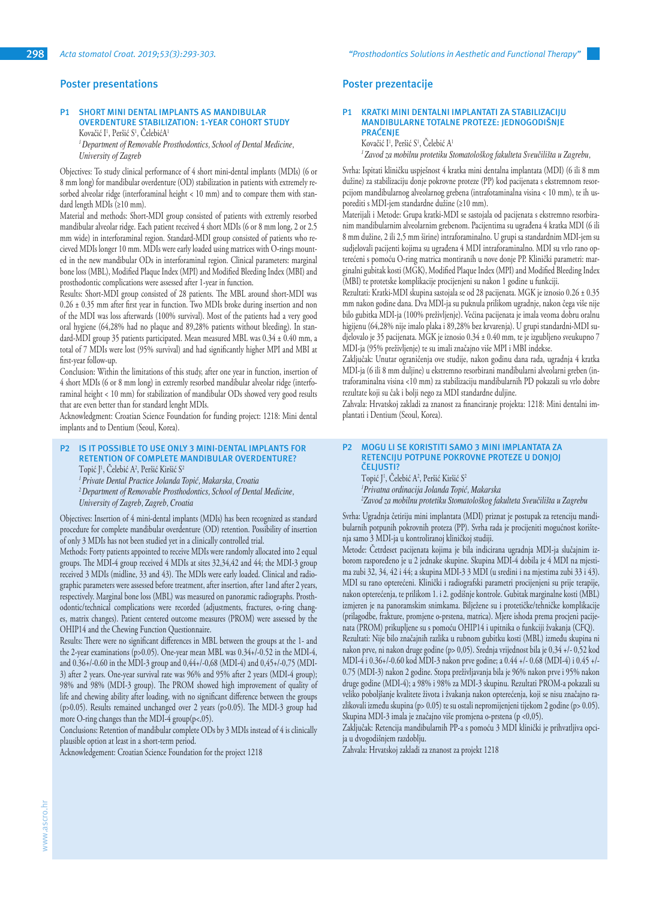## **Poster presentations**

# **P1 SHORT MINI DENTAL IMPLANTS AS MANDIBULAR OVERDENTURE STABILIZATION: 1-YEAR COHORT STUDY**

Kovačić I<sup>1</sup>, Peršić S<sup>1</sup>, CelebićA<sup>1</sup> *<sup>1</sup>Department of Removable Prosthodontics, School of Dental Medicine, University of Zagreb*

Objectives: To study clinical performance of 4 short mini-dental implants (MDIs) (6 or 8 mm long) for mandibular overdenture (OD) stabilization in patients with extremely resorbed alveolar ridge (interforaminal height < 10 mm) and to compare them with standard length MDIs (≥10 mm).

Material and methods: Short-MDI group consisted of patients with extremly resorbed mandibular alveolar ridge. Each patient received 4 short MDIs (6 or 8 mm long, 2 or 2.5 mm wide) in interforaminal region. Standard-MDI group consisted of patients who recieved MDIs longer 10 mm. MDIs were early loaded using matrices with O-rings mounted in the new mandibular ODs in interforaminal region. Clinical parameters: marginal bone loss (MBL), Modified Plaque Index (MPI) and Modified Bleeding Index (MBI) and prosthodontic complications were assessed after 1-year in function.

Results: Short-MDI group consisted of 28 patients. The MBL around short-MDI was 0.26 ± 0.35 mm after first year in function. Two MDIs broke during insertion and non of the MDI was loss afterwards (100% survival). Most of the patients had a very good oral hygiene (64,28% had no plaque and 89,28% patients without bleeding). In standard-MDI group 35 patients participated. Mean measured MBL was 0.34 ± 0.40 mm, a total of 7 MDIs were lost (95% survival) and had significantly higher MPI and MBI at first-year follow-up.

Conclusion: Within the limitations of this study, after one year in function, insertion of 4 short MDIs (6 or 8 mm long) in extremly resorbed mandibular alveolar ridge (interforaminal height < 10 mm) for stabilization of mandibular ODs showed very good results that are even better than for standard lenght MDIs.

Acknowledgment: Croatian Science Foundation for funding project: 1218: Mini dental implants and to Dentium (Seoul, Korea).

# **P2 IS IT POSSIBLE TO USE ONLY 3 MINI-DENTAL IMPLANTS FOR RETENTION OF COMPLETE MANDIBULAR OVERDENTURE?**

Topić J<sup>1</sup>, Celebić A<sup>2</sup>, Peršić Kiršić S<sup>2</sup>

*<sup>1</sup>Private Dental Practice Jolanda Topić, Makarska, Croatia*

*<sup>2</sup>Department of Removable Prosthodontics, School of Dental Medicine, University of Zagreb, Zagreb, Croatia*

Objectives: Insertion of 4 mini-dental implants (MDIs) has been recognized as standard procedure for complete mandibular overdenture (OD) retention. Possibility of insertion of only 3 MDIs has not been studied yet in a clinically controlled trial.

Methods: Forty patients appointed to receive MDIs were randomly allocated into 2 equal groups. The MDI-4 group received 4 MDIs at sites 32,34,42 and 44; the MDI-3 group received 3 MDIs (midline, 33 and 43). The MDIs were early loaded. Clinical and radiographic parameters were assessed before treatment, after insertion, after 1and after 2 years, respectively. Marginal bone loss (MBL) was measured on panoramic radiographs. Prosthodontic/technical complications were recorded (adjustments, fractures, o-ring changes, matrix changes). Patient centered outcome measures (PROM) were assessed by the OHIP14 and the Chewing Function Questionnaire.

Results: There were no significant differences in MBL between the groups at the 1- and the 2-year examinations (p>0.05). One-year mean MBL was 0.34+/-0.52 in the MDI-4, and 0.36+/-0.60 in the MDI-3 group and 0,44+/-0,68 (MDI-4) and 0,45+/-0,75 (MDI-3) after 2 years. One-year survival rate was 96% and 95% after 2 years (MDI-4 group); 98% and 98% (MDI-3 group). The PROM showed high improvement of quality of life and chewing ability after loading, with no significant difference between the groups (p>0.05). Results remained unchanged over 2 years (p>0.05). The MDI-3 group had more O-ring changes than the MDI-4 group(p<.05).

Conclusions: Retention of mandibular complete ODs by 3 MDIs instead of 4 is clinically plausible option at least in a short-term period.

Acknowledgement: Croatian Science Foundation for the project 1218

# **Poster prezentacije**

## **P1 KRATKI MINI DENTALNI IMPLANTATI ZA STABILIZACIJU MANDIBULARNE TOTALNE PROTEZE: JEDNOGODIŠNJE PRAĆENJE**

Kovačić I<sup>1</sup>, Peršić S<sup>1</sup>, Celebić A<sup>1</sup> *<sup>1</sup>Zavod za mobilnu protetiku Stomatološkog fakulteta Sveučilišta u Zagrebu,* 

Svrha: Ispitati kliničku uspješnost 4 kratka mini dentalna implantata (MDI) (6 ili 8 mm dužine) za stabilizaciju donje pokrovne proteze (PP) kod pacijenata s ekstremnom resorpcijom mandibularnog alveolarnog grebena (intrafotaminalna visina < 10 mm), te ih usporediti s MDI-jem standardne dužine (≥10 mm).

Materijali i Metode: Grupa kratki-MDI se sastojala od pacijenata s ekstremno resorbiranim mandibularnim alveolarnim grebenom. Pacijentima su ugrađena 4 kratka MDI (6 ili 8 mm dužine, 2 ili 2,5 mm širine) intraforaminalno. U grupi sa standardnim MDI-jem su sudjelovali pacijenti kojima su ugrađena 4 MDI intraforaminalno. MDI su vrlo rano opterećeni s pomoću O-ring matrica montiranih u nove donje PP. Klinički parametri: marginalni gubitak kosti (MGK), Modified Plaque Index (MPI) and Modified Bleeding Index (MBI) te protetske komplikacije procijenjeni su nakon 1 godine u funkciji.

Rezultati: Kratki-MDI skupina sastojala se od 28 pacijenata. MGK je iznosio 0.26 ± 0.35 mm nakon godine dana. Dva MDI-ja su puknula prilikom ugradnje, nakon čega više nije bilo gubitka MDI-ja (100% preživljenje). Većina pacijenata je imala veoma dobru oralnu higijenu (64,28% nije imalo plaka i 89,28% bez krvarenja). U grupi standardni-MDI sudjelovalo je 35 pacijenata. MGK je iznosio 0.34 ± 0.40 mm, te je izgubljeno sveukupno 7 MDI-ja (95% preživljenje) te su imali značajno više MPI i MBI indekse.

Zaključak: Unutar ograničenja ove studije, nakon godinu dana rada, ugradnja 4 kratka MDI-ja (6 ili 8 mm duljine) u ekstremno resorbirani mandibularni alveolarni greben (intraforaminalna visina <10 mm) za stabilizaciju mandibularnih PD pokazali su vrlo dobre rezultate koji su čak i bolji nego za MDI standardne duljine.

Zahvala: Hrvatskoj zakladi za znanost za financiranje projekta: 1218: Mini dentalni implantati i Dentium (Seoul, Korea).

## **P2 MOGU LI SE KORISTITI SAMO 3 MINI IMPLANTATA ZA RETENCIJU POTPUNE POKROVNE PROTEZE U DONJOJ ČELJUSTI?**

Topić J<sup>1</sup>, Celebić A<sup>2</sup>, Peršić Kiršić S<sup>2</sup> *1 Privatna ordinacija Jolanda Topić, Makarska 2 Zavod za mobilnu protetiku Stomatološkog fakulteta Sveučilišta u Zagrebu*

Svrha: Ugradnja četiriju mini implantata (MDI) priznat je postupak za retenciju mandibularnih potpunih pokrovnih proteza (PP). Svrha rada je procijeniti mogućnost korištenja samo 3 MDI-ja u kontroliranoj kliničkoj studiji.

Metode: Četrdeset pacijenata kojima je bila indicirana ugradnja MDI-ja slučajnim izborom raspoređeno je u 2 jednake skupine. Skupina MDI-4 dobila je 4 MDI na mjestima zubi 32, 34, 42 i 44; a skupina MDI-3 3 MDI (u sredini i na mjestima zubi 33 i 43). MDI su rano opterećeni. Klinički i radiografski parametri procijenjeni su prije terapije, nakon opterećenja, te prilikom 1. i 2. godišnje kontrole. Gubitak marginalne kosti (MBL) izmjeren je na panoramskim snimkama. Bilježene su i protetičke/tehničke komplikacije (prilagodbe, frakture, promjene o-prstena, matrica). Mjere ishoda prema procjeni pacijenata (PROM) prikupljene su s pomoću OHIP14 i upitnika o funkciji žvakanja (CFQ). Rezultati: Nije bilo značajnih razlika u rubnom gubitku kosti (MBL) između skupina ni nakon prve, ni nakon druge godine (p> 0,05). Srednja vrijednost bila je 0,34 +/- 0,52 kod MDI-4 i 0.36+/-0.60 kod MDI-3 nakon prve godine; a 0.44 +/- 0.68 (MDI-4) i 0.45 +/- 0.75 (MDI-3) nakon 2 godine. Stopa preživljavanja bila je 96% nakon prve i 95% nakon druge godine (MDI-4); a 98% i 98% za MDI-3 skupinu. Rezultati PROM-a pokazali su veliko poboljšanje kvalitete života i žvakanja nakon opterećenja, koji se nisu značajno razlikovali između skupina (p> 0.05) te su ostali nepromijenjeni tijekom 2 godine (p> 0.05). Skupina MDI-3 imala je značajno više promjena o-prstena (p <0,05).

Zaključak: Retencija mandibularnih PP-a s pomoću 3 MDI klinički je prihvatljiva opcija u dvogodišnjem razdoblju.

Zahvala: Hrvatskoj zakladi za znanost za projekt 1218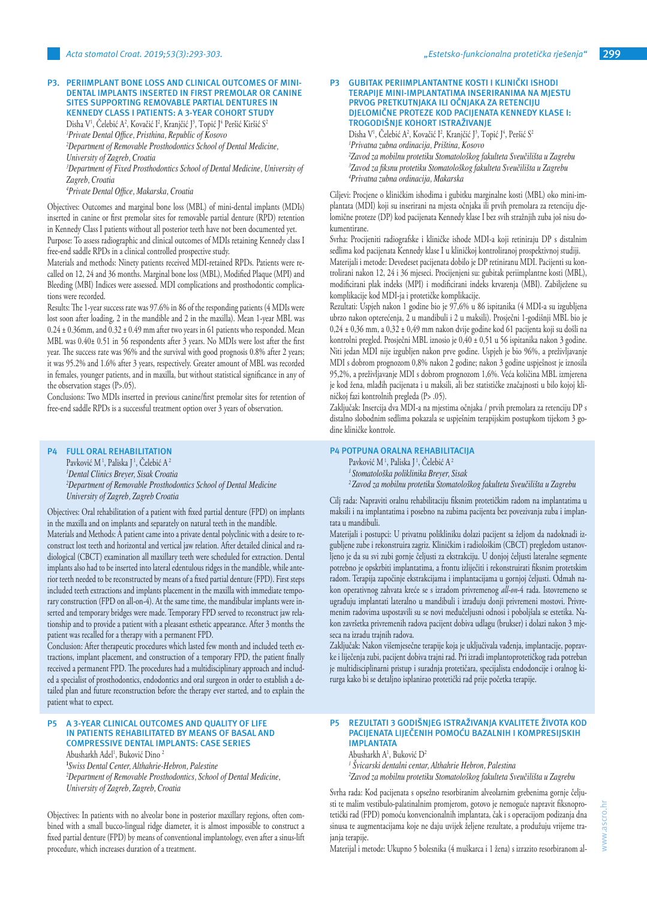#### **P3. PERIIMPLANT BONE LOSS AND CLINICAL OUTCOMES OF MINI-DENTAL IMPLANTS INSERTED IN FIRST PREMOLAR OR CANINE SITES SUPPORTING REMOVABLE PARTIAL DENTURES IN KENNEDY CLASS I PATIENTS: A 3-YEAR COHORT STUDY**

Disha V<sup>1</sup>, Celebić A<sup>2</sup>, Kovačić I<sup>2</sup>, Kranjčić J<sup>3</sup>, Topić J<sup>4</sup> Peršić Kiršić S<sup>2</sup> *1 Private Dental Office, Pristhina, Republic of Kosovo 2 Department of Removable Prosthodontics School of Dental Medicine, University of Zagreb, Croatia 3 Department of Fixed Prosthodontics School of Dental Medicine, University of Zagreb, Croatia*

*4 Private Dental Office, Makarska, Croatia*

Objectives: Outcomes and marginal bone loss (MBL) of mini-dental implants (MDIs) inserted in canine or first premolar sites for removable partial denture (RPD) retention in Kennedy Class I patients without all posterior teeth have not been documented yet. Purpose: To assess radiographic and clinical outcomes of MDIs retaining Kennedy class I free-end saddle RPDs in a clinical controlled prospective study.

Materials and methods: Ninety patients received MDI-retained RPDs. Patients were recalled on 12, 24 and 36 months. Marginal bone loss (MBL), Modified Plaque (MPI) and Bleeding (MBI) Indices were assessed. MDI complications and prosthodontic complications were recorded.

Results: The 1-year success rate was 97.6% in 86 of the responding patients (4 MDIs were lost soon after loading, 2 in the mandible and 2 in the maxilla). Mean 1-year MBL was  $0.24 \pm 0.36$ mm, and  $0.32 \pm 0.49$  mm after two years in 61 patients who responded. Mean MBL was 0.40± 0.51 in 56 respondents after 3 years. No MDIs were lost after the first year. The success rate was 96% and the survival with good prognosis 0.8% after 2 years; it was 95.2% and 1.6% after 3 years, respectively. Greater amount of MBL was recorded in females, younger patients, and in maxilla, but without statistical significance in any of the observation stages (P>.05).

Conclusions: Two MDIs inserted in previous canine/first premolar sites for retention of free-end saddle RPDs is a successful treatment option over 3 years of observation.

## **P4 FULL ORAL REHABILITATION**

Pavković M<sup>1</sup>, Paliska J<sup>1</sup>, Čelebić A<sup>2</sup> *1 Dental Clinics Breyer, Sisak Croatia 2 Department of Removable Prosthodontics School of Dental Medicine University of Zagreb, Zagreb Croatia*

Objectives: Oral rehabilitation of a patient with fixed partial denture (FPD) on implants in the maxilla and on implants and separately on natural teeth in the mandible.

Materials and Methods: A patient came into a private dental polyclinic with a desire to reconstruct lost teeth and horizontal and vertical jaw relation. After detailed clinical and radiological (CBCT) examination all maxillary teeth were scheduled for extraction. Dental implants also had to be inserted into lateral edentulous ridges in the mandible, while anterior teeth needed to be reconstructed by means of a fixed partial denture (FPD). First steps included teeth extractions and implants placement in the maxilla with immediate temporary construction (FPD on all-on-4). At the same time, the mandibular implants were inserted and temporary bridges were made. Temporary FPD served to reconstruct jaw relationship and to provide a patient with a pleasant esthetic appearance. After 3 months the patient was recalled for a therapy with a permanent FPD.

Conclusion: After therapeutic procedures which lasted few month and included teeth extractions, implant placement, and construction of a temporary FPD, the patient finally received a permanent FPD. The procedures had a multidisciplinary approach and included a specialist of prosthodontics, endodontics and oral surgeon in order to establish a detailed plan and future reconstruction before the therapy ever started, and to explain the patient what to expect.

## **P5 A 3-YEAR CLINICAL OUTCOMES AND QUALITY OF LIFE IN PATIENTS REHABILITATED BY MEANS OF BASAL AND COMPRESSIVE DENTAL IMPLANTS: CASE SERIES**

Abusharkh Adel<sup>ı</sup>, Buković Dino <del>'</del>

**1** *Swiss Dental Center, Althahrie-Hebron, Palestine*

*2 Department of Removable Prosthodontics, School of Dental Medicine, University of Zagreb, Zagreb, Croatia*

Objectives: In patients with no alveolar bone in posterior maxillary regions, often combined with a small bucco-lingual ridge diameter, it is almost impossible to construct a fixed partial denture (FPD) by means of conventional implantology, even after a sinus-lift procedure, which increases duration of a treatment.

#### **P3 GUBITAK PERIIMPLANTANTNE KOSTI I KLINIČKI ISHODI TERAPIJE MINI-IMPLANTATIMA INSERIRANIMA NA MJESTU PRVOG PRETKUTNJAKA ILI OČNJAKA ZA RETENCIJU DJELOMIČNE PROTEZE KOD PACIJENATA KENNEDY KLASE I: TROGODIŠNJE KOHORT ISTRAŽIVANJE**

Disha V<sup>1</sup>, Čelebić A<sup>2</sup>, Kovačić I<sup>2</sup>, Kranjčić J<sup>3</sup>, Topić J<sup>4</sup>, Peršić S<sup>2</sup> *Privatna zubna ordinacija, Priština, Kosovo Zavod za mobilnu protetiku Stomatološkog fakulteta Sveučilišta u Zagrebu Zavod za fiksnu protetiku Stomatološkog fakulteta Sveučilišta u Zagrebu Privatna zubna ordinacija, Makarska*

Ciljevi: Procjene o kliničkim ishodima i gubitku marginalne kosti (MBL) oko mini-implantata (MDI) koji su inserirani na mjesta očnjaka ili prvih premolara za retenciju djelomične proteze (DP) kod pacijenata Kennedy klase I bez svih stražnjih zuba još nisu dokumentirane.

Svrha: Procijeniti radiografske i kliničke ishode MDI-a koji retiniraju DP s distalnim sedlima kod pacijenata Kennedy klase I u kliničkoj kontroliranoj prospektivnoj studiji.

Materijali i metode: Devedeset pacijenata dobilo je DP retiniranu MDI. Pacijenti su kontrolirani nakon 12, 24 i 36 mjeseci. Procijenjeni su: gubitak periimplantne kosti (MBL), modificirani plak indeks (MPI) i modificirani indeks krvarenja (MBI). Zabilježene su komplikacije kod MDI-ja i protetičke komplikacije.

Rezultati: Uspjeh nakon 1 godine bio je 97,6% u 86 ispitanika (4 MDI-a su izgubljena ubrzo nakon opterećenja, 2 u mandibuli i 2 u maksili). Prosječni 1-godišnji MBL bio je 0,24 ± 0,36 mm, a 0,32 ± 0,49 mm nakon dvije godine kod 61 pacijenta koji su došli na kontrolni pregled. Prosječni MBL iznosio je 0,40 ± 0,51 u 56 ispitanika nakon 3 godine. Niti jedan MDI nije izgubljen nakon prve godine. Uspjeh je bio 96%, a preživljavanje MDI s dobrom prognozom 0,8% nakon 2 godine; nakon 3 godine uspješnost je iznosila 95,2%, a preživljavanje MDI s dobrom prognozom 1,6%. Veća količina MBL izmjerena je kod žena, mlađih pacijenata i u maksili, ali bez statističke značajnosti u bilo kojoj kliničkoj fazi kontrolnih pregleda (P> .05).

Zaključak: Insercija dva MDI-a na mjestima očnjaka / prvih premolara za retenciju DP s distalno slobodnim sedlima pokazala se uspješnim terapijskim postupkom tijekom 3 godine kliničke kontrole.

## **P4 POTPUNA ORALNA REHABILITACIJA**

Pavković M<sup>1</sup>, Paliska J<sup>1</sup>, Čelebić A<sup>2</sup>

*<sup>1</sup>Stomatološka poliklinika Breyer, Sisak*

*<sup>2</sup>Zavod za mobilnu protetiku Stomatološkog fakulteta Sveučilišta u Zagrebu*

Cilj rada: Napraviti oralnu rehabilitaciju fiksnim protetičkim radom na implantatima u maksili i na implantatima i posebno na zubima pacijenta bez povezivanja zuba i implantata u mandibuli.

Materijali i postupci: U privatnu polikliniku dolazi pacijent sa željom da nadoknadi izgubljene zube i rekonstruira zagriz. Kliničkim i radiološkim (CBCT) pregledom ustanovljeno je da su svi zubi gornje čeljusti za ekstrakciju. U donjoj čeljusti lateralne segmente potrebno je opskrbiti implantatima, a frontu izliječiti i rekonstruirati fiksnim protetskim radom. Terapija započinje ekstrakcijama i implantacijama u gornjoj čeljusti. Odmah nakon operativnog zahvata kreće se s izradom privremenog *all-on*-4 rada. Istovremeno se ugrađuju implantati lateralno u mandibuli i izrađuju donji privremeni mostovi. Privremenim radovima uspostavili su se novi međučeljusni odnosi i poboljšala se estetika. Nakon završetka privremenih radova pacijent dobiva udlagu (brukser) i dolazi nakon 3 mjeseca na izradu trajnih radova.

Zaključak: Nakon višemjesečne terapije koja je uključivala vađenja, implantacije, popravke i liječenja zubi, pacijent dobiva trajni rad. Pri izradi implantoprotetičkog rada potreban je multidisciplinarni pristup i suradnja protetičara, specijalista endodoncije i oralnog kirurga kako bi se detaljno isplanirao protetički rad prije početka terapije.

## **P5 REZULTATI 3 GODIŠNJEG ISTRAŽIVANJA KVALITETE ŽIVOTA KOD PACIJENATA LIJEČENIH POMOĆU BAZALNIH I KOMPRESIJSKIH IMPLANTATA**

Abusharkh A<sup>1</sup>, Buković D<sup>2</sup>

*1 Švicarski dentalni centar, Althahrie Hebron, Palestina*

*2 Zavod za mobilnu protetiku Stomatološkog fakulteta Sveučilišta u Zagrebu*

Svrha rada: Kod pacijenata s opsežno resorbiranim alveolarnim grebenima gornje čeljusti te malim vestibulo-palatinalnim promjerom, gotovo je nemoguće napravit fiksnoprotetički rad (FPD) pomoću konvencionalnih implantata, čak i s operacijom podizanja dna sinusa te augmentacijama koje ne daju uvijek željene rezultate, a produžuju vrijeme trajanja terapije.

Materijal i metode: Ukupno 5 bolesnika (4 muškarca i 1 žena) s izrazito resorbiranom al-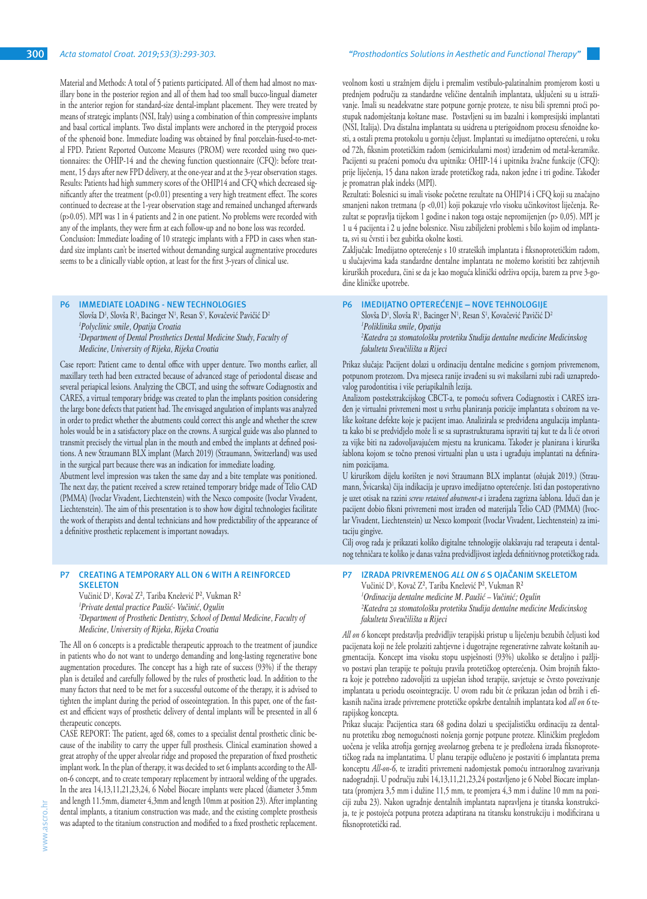Material and Methods: A total of 5 patients participated. All of them had almost no maxillary bone in the posterior region and all of them had too small bucco-lingual diameter in the anterior region for standard-size dental-implant placement. They were treated by means of strategic implants (NSI, Italy) using a combination of thin compressive implants and basal cortical implants. Two distal implants were anchored in the pterygoid process of the sphenoid bone. Immediate loading was obtained by final porcelain-fused-to-metal FPD. Patient Reported Outcome Measures (PROM) were recorded using two questionnaires: the OHIP-14 and the chewing function questionnaire (CFQ): before treatment, 15 days after new FPD delivery, at the one-year and at the 3-year observation stages. Results: Patients had high summery scores of the OHIP14 and CFQ which decreased significantly after the treatment  $(p<0.01)$  presenting a very high treatment effect. The scores continued to decrease at the 1-year observation stage and remained unchanged afterwards (p>0.05). MPI was 1 in 4 patients and 2 in one patient. No problems were recorded with any of the implants, they were firm at each follow-up and no bone loss was recorded. Conclusion: Immediate loading of 10 strategic implants with a FPD in cases when stan-

dard size implants can't be inserted without demanding surgical augmentative procedures seems to be a clinically viable option, at least for the first 3-years of clinical use.

## **P6 IMMEDIATE LOADING - NEW TECHNOLOGIES**

Slovša D<sup>1</sup>, Slovša R<sup>1</sup>, Bacinger N<sup>1</sup>, Resan S<sup>1</sup>, Kovačević Pavičić D<sup>2</sup> *1 Polyclinic smile, Opatija Croatia 2 Department of Dental Prosthetics Dental Medicine Study, Faculty of Medicine, University of Rijeka, Rijeka Croatia*

Case report: Patient came to dental office with upper denture. Two months earlier, all maxillary teeth had been extracted because of advanced stage of periodontal disease and several periapical lesions. Analyzing the CBCT, and using the software Codiagnostix and CARES, a virtual temporary bridge was created to plan the implants position considering the large bone defects that patient had. The envisaged angulation of implants was analyzed in order to predict whether the abutments could correct this angle and whether the screw holes would be in a satisfactory place on the crowns. A surgical guide was also planned to transmit precisely the virtual plan in the mouth and embed the implants at defined positions. A new Straumann BLX implant (March 2019) (Straumann, Switzerland) was used in the surgical part because there was an indication for immediate loading.

Abutment level impression was taken the same day and a bite template was ponitioned. The next day, the patient received a screw retained temporary bridge made of Telio CAD (PMMA) (Ivoclar Vivadent, Liechtenstein) with the Nexco composite (Ivoclar Vivadent, Liechtenstein). The aim of this presentation is to show how digital technologies facilitate the work of therapists and dental technicians and how predictability of the appearance of a definitive prosthetic replacement is important nowadays.

## **P7 CREATING A TEMPORARY ALL ON 6 WITH A REINFORCED SKELETON**

Vučinić D1 , Kovač Z², Tariba Knežević P², Vukman R² *1 Private dental practice Paušić- Vučinić, Ogulin ²Department of Prosthetic Dentistry, School of Dental Medicine, Faculty of Medicine, University of Rijeka, Rijeka Croatia* 

The All on 6 concepts is a predictable therapeutic approach to the treatment of jaundice in patients who do not want to undergo demanding and long-lasting regenerative bone augmentation procedures. The concept has a high rate of success (93%) if the therapy plan is detailed and carefully followed by the rules of prosthetic load. In addition to the many factors that need to be met for a successful outcome of the therapy, it is advised to tighten the implant during the period of osseointegration. In this paper, one of the fastest and efficient ways of prosthetic delivery of dental implants will be presented in all 6 therapeutic concepts.

CASE REPORT: The patient, aged 68, comes to a specialist dental prosthetic clinic because of the inability to carry the upper full prosthesis. Clinical examination showed a great atrophy of the upper alveolar ridge and proposed the preparation of fixed prosthetic implant work. In the plan of therapy, it was decided to set 6 implants according to the Allon-6 concept, and to create temporary replacement by intraoral welding of the upgrades. In the area 14,13,11,21,23,24, 6 Nobel Biocare implants were placed (diameter 3.5mm and length 11.5mm, diameter 4,3mm and length 10mm at position 23). After implanting dental implants, a titanium construction was made, and the existing complete prosthesis was adapted to the titanium construction and modified to a fixed prosthetic replacement.

#### **300** *Acta stomatol Croat. 2019;53(3):293-303. "Prosthodontics Solutions in Aesthetic and Functional Therapy"*

veolnom kosti u stražnjem dijelu i premalim vestibulo-palatinalnim promjerom kosti u prednjem području za standardne veličine dentalnih implantata, uključeni su u istraživanje. Imali su neadekvatne stare potpune gornje proteze, te nisu bili spremni proći postupak nadomještanja koštane mase. Postavljeni su im bazalni i kompresijski implantati (NSI, Italija). Dva distalna implantata su usidrena u pterigoidnom procesu sfenoidne kosti, a ostali prema protokolu u gornju čeljust. Implantati su imedijatno opterećeni, u roku od 72h, fiksnim protetičkim radom (semicirkularni most) izrađenim od metal-keramike. Pacijenti su praćeni pomoću dva upitnika: OHIP-14 i upitnika žvačne funkcije (CFQ): prije liječenja, 15 dana nakon izrade protetičkog rada, nakon jedne i tri godine. Također je promatran plak indeks (MPI).

Rezultati: Bolesnici su imali visoke početne rezultate na OHIP14 i CFQ koji su značajno smanjeni nakon tretmana (p <0,01) koji pokazuje vrlo visoku učinkovitost liječenja. Rezultat se popravlja tijekom 1 godine i nakon toga ostaje nepromijenjen (p> 0,05). MPI je 1 u 4 pacijenta i 2 u jedne bolesnice. Nisu zabilježeni problemi s bilo kojim od implantata, svi su čvrsti i bez gubitka okolne kosti.

Zaključak: Imedijatno opterećenje s 10 strateških implantata i fiksnoprotetičkim radom, u slučajevima kada standardne dentalne implantata ne možemo koristiti bez zahtjevnih kirurških procedura, čini se da je kao moguća klinički održiva opcija, barem za prve 3-godine kliničke upotrebe.

#### **P6 IMEDIJATNO OPTEREĆENJE – NOVE TEHNOLOGIJE**

Slovša D<sup>1</sup>, Slovša R<sup>1</sup>, Bacinger N<sup>1</sup>, Resan S<sup>1</sup>, Kovačević Pavičić D<sup>2</sup> *1 Poliklinika smile, Opatija 2 Katedra za stomatološku protetiku Studija dentalne medicine Medicinskog fakulteta Sveučilišta u Rijeci*

Prikaz slučaja: Pacijent dolazi u ordinaciju dentalne medicine s gornjom privremenom, potpunom protezom. Dva mjeseca ranije izvađeni su svi maksilarni zubi radi uznapredovalog parodontitisa i više periapikalnih lezija.

Analizom postekstrakcijskog CBCT-a, te pomoću softvera Codiagnostix i CARES izrađen je virtualni privremeni most u svrhu planiranja pozicije implantata s obzirom na velike koštane defekte koje je pacijent imao. Analizirala se predviđena angulacija implantata kako bi se predvidjelo može li se sa suprastrukturama ispraviti taj kut te da li će otvori za vijke biti na zadovoljavajućem mjestu na krunicama. Također je planirana i kirurška šablona kojom se točno prenosi virtualni plan u usta i ugrađuju implantati na definiranim pozicijama.

U kirurškom dijelu korišten je novi Straumann BLX implantat (ožujak 2019.) (Straumann, Švicarska) čija indikacija je upravo imedijatno opterećenje. Isti dan postoperativno je uzet otisak na razini *screw retained abutment-a* i izrađena zagrizna šablona. Idući dan je pacijent dobio fiksni privremeni most izrađen od materijala Telio CAD (PMMA) (Ivoclar Vivadent, Liechtenstein) uz Nexco kompozit (Ivoclar Vivadent, Liechtenstein) za imitaciju gingive.

Cilj ovog rada je prikazati koliko digitalne tehnologije olakšavaju rad terapeuta i dentalnog tehničara te koliko je danas važna predvidljivost izgleda definitivnog protetičkog rada.

## **P7 IZRADA PRIVREMENOG** *ALL ON 6* **S OJAČANIM SKELETOM**

Vučinić D1 , Kovač Z², Tariba Knežević P², Vukman R² *1 Ordinacija dentalne medicine M. Paušić – Vučinić; Ogulin ²Katedra za stomatološku protetiku Studija dentalne medicine Medicinskog fakulteta Sveučilišta u Rijeci*

*All on 6* koncept predstavlja predvidljiv terapijski pristup u liječenju bezubih čeljusti kod pacijenata koji ne žele prolaziti zahtjevne i dugotrajne regenerativne zahvate koštanih augmentacija. Koncept ima visoku stopu uspješnosti (93%) ukoliko se detaljno i pažljivo postavi plan terapije te poštuju pravila protetičkog opterećenja. Osim brojnih faktora koje je potrebno zadovoljiti za uspješan ishod terapije, savjetuje se čvrsto povezivanje implantata u periodu oseointegracije. U ovom radu bit će prikazan jedan od brzih i efikasnih načina izrade privremene protetičke opskrbe dentalnih implantata kod *all on 6* terapijskog koncepta.

Prikaz slucaja: Pacijentica stara 68 godina dolazi u specijalističku ordinaciju za dentalnu protetiku zbog nemogućnosti nošenja gornje potpune proteze. Kliničkim pregledom uočena je velika atrofija gornjeg aveolarnog grebena te je predložena izrada fiksnoprotetičkog rada na implantatima. U planu terapije odlučeno je postaviti 6 implantata prema konceptu *All-on-6*, te izraditi privremeni nadomjestak pomoću intraoralnog zavarivanja nadogradnji. U području zubi 14,13,11,21,23,24 postavljeno je 6 Nobel Biocare implantata (promjera 3,5 mm i dužine 11,5 mm, te promjera 4,3 mm i dužine 10 mm na poziciji zuba 23). Nakon ugradnje dentalnih implantata napravljena je titanska konstrukcija, te je postojeća potpuna proteza adaptirana na titansku konstrukciju i modificirana u fiksnoprotetički rad.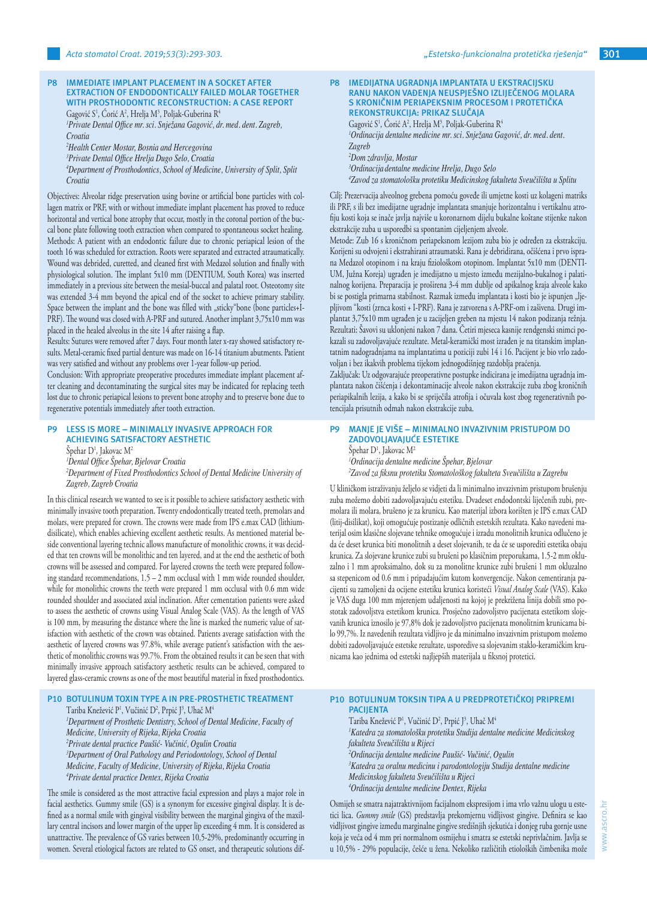## **P8 IMMEDIATE IMPLANT PLACEMENT IN A SOCKET AFTER EXTRACTION OF ENDODONTICALLY FAILED MOLAR TOGETHER WITH PROSTHODONTIC RECONSTRUCTION: A CASE REPORT** Gagović S<sup>1</sup>, Corić A<sup>2</sup>, Hrelja M<sup>3</sup>, Poljak-Guberina R<sup>4</sup>

*1 Private Dental Office mr. sci. Snježana Gagović, dr. med. dent. Zagreb, Croatia*

*2 Health Center Mostar, Bosnia and Hercegovina*

*3 Private Dental Office Hrelja Dugo Selo, Croatia 4 Department of Prosthodontics, School of Medicine, University of Split, Split* 

*Croatia*

Objectives: Alveolar ridge preservation using bovine or artificial bone particles with collagen matrix or PRF, with or without immediate implant placement has proved to reduce horizontal and vertical bone atrophy that occur, mostly in the coronal portion of the buccal bone plate following tooth extraction when compared to spontaneous socket healing. Methods: A patient with an endodontic failure due to chronic periapical lesion of the tooth 16 was scheduled for extraction. Roots were separated and extracted atraumatically. Wound was debrided, curetted, and cleaned first with Medazol solution and finally with physiological solution. The implant 5x10 mm (DENTIUM, South Korea) was inserted immediately in a previous site between the mesial-buccal and palatal root. Osteotomy site was extended 3-4 mm beyond the apical end of the socket to achieve primary stability. Space between the implant and the bone was filled with "sticky"bone (bone particles+I-PRF). The wound was closed with A-PRF and sutured. Another implant 3,75x10 mm was placed in the healed alveolus in the site 14 after raising a flap.

Results: Sutures were removed after 7 days. Four month later x-ray showed satisfactory results. Metal-ceramic fixed partial denture was made on 16-14 titanium abutments. Patient was very satisfied and without any problems over 1-year follow-up period.

Conclusion: With appropriate preoperative procedures immediate implant placement after cleaning and decontaminating the surgical sites may be indicated for replacing teeth lost due to chronic periapical lesions to prevent bone atrophy and to preserve bone due to regenerative potentials immediately after tooth extraction.

## **P9 LESS IS MORE – MINIMALLY INVASIVE APPROACH FOR ACHIEVING SATISFACTORY AESTHETIC** Spehar D<sup>1</sup>, Jakovac M<sup>2</sup>

*1 Dental Office Špehar, Bjelovar Croatia*

*2 Department of Fixed Prosthodontics School of Dental Medicine University of Zagreb, Zagreb Croatia*

In this clinical research we wanted to see is it possible to achieve satisfactory aesthetic with minimally invasive tooth preparation. Twenty endodontically treated teeth, premolars and molars, were prepared for crown. The crowns were made from IPS e.max CAD (lithiumdisilicate), which enables achieving excellent aesthetic results. As mentioned material beside conventional layering technic allows manufacture of monolithic crowns, it was decided that ten crowns will be monolithic and ten layered, and at the end the aesthetic of both crowns will be assessed and compared. For layered crowns the teeth were prepared following standard recommendations, 1.5 – 2 mm occlusal with 1 mm wide rounded shoulder, while for monolithic crowns the teeth were prepared 1 mm occlusal with 0.6 mm wide rounded shoulder and associated axial inclination. After cementation patients were asked to assess the aesthetic of crowns using Visual Analog Scale (VAS). As the length of VAS is 100 mm, by measuring the distance where the line is marked the numeric value of satisfaction with aesthetic of the crown was obtained. Patients average satisfaction with the aesthetic of layered crowns was 97.8%, while average patient's satisfaction with the aesthetic of monolithic crowns was 99.7%. From the obtained results it can be seen that with minimally invasive approach satisfactory aesthetic results can be achieved, compared to layered glass-ceramic crowns as one of the most beautiful material in fixed prosthodontics.

# **P10 BOTULINUM TOXIN TYPE A IN PRE-PROSTHETIC TREATMENT** Tariba Knežević P½, Vučinić D², Prpić J¾, Uhač M4

<sup>1</sup>Department of Prosthetic Dentistry, School of Dental Medicine, Faculty of *Medicine, University of Rijeka, Rijeka Croatia 2 Private dental practice Paušić- Vučinić, Ogulin Croatia 3 Department of Oral Pathology and Periodontology, School of Dental Medicine, Faculty of Medicine, University of Rijeka, Rijeka Croatia 4 Private dental practice Dentex, Rijeka Croatia*

The smile is considered as the most attractive facial expression and plays a major role in facial aesthetics. Gummy smile (GS) is a synonym for excessive gingival display. It is defined as a normal smile with gingival visibility between the marginal gingiva of the maxillary central incisors and lower margin of the upper lip exceeding 4 mm. It is considered as unattractive. The prevalence of GS varies between 10,5-29%, predominantly occurring in women. Several etiological factors are related to GS onset, and therapeutic solutions dif-

### **P8 IMEDIJATNA UGRADNJA IMPLANTATA U EKSTRACIJSKU RANU NAKON VAĐENJA NEUSPJEŠNO IZLIJEČENOG MOLARA S KRONIČNIM PERIAPEKSNIM PROCESOM I PROTETIČKA REKONSTRUKCIJA: PRIKAZ SLUČAJA**

Gagović S<sup>1</sup>, Corić A<sup>2</sup>, Hrelja M<sup>3</sup>, Poljak-Guberina R<sup>4</sup> *1 Ordinacija dentalne medicine mr. sci. Snježana Gagović, dr. med. dent. Zagreb 2 Dom zdravlja, Mostar 3 Ordinacija dentalne medicine Hrelja, Dugo Selo*

*4 Zavod za stomatološku protetiku Medicinskog fakulteta Sveučilišta u Splitu*

Cilj: Prezervacija alveolnog grebena pomoću goveđe ili umjetne kosti uz kolageni matriks ili PRF, s ili bez imedijatne ugradnje implantata smanjuje horizontalnu i vertikalnu atrofiju kosti koja se inače javlja najviše u koronarnom dijelu bukalne koštane stijenke nakon ekstrakcije zuba u usporedbi sa spontanim cijeljenjem alveole.

Metode: Zub 16 s kroničnom periapeksnom lezijom zuba bio je određen za ekstrakciju. Korijeni su odvojeni i ekstrahirani atraumatski. Rana je debridirana, očišćena i prvo isprana Medazol otopinom i na kraju fiziološkom otopinom. Implantat 5x10 mm (DENTI-UM, Južna Koreja) ugrađen je imedijatno u mjesto između mezijalno-bukalnog i palatinalnog korijena. Preparacija je proširena 3-4 mm dublje od apikalnog kraja alveole kako bi se postigla primarna stabilnost. Razmak između implantata i kosti bio je ispunjen "ljepljivom "kosti (zrnca kosti + I-PRF). Rana je zatvorena s A-PRF-om i zašivena. Drugi implantat 3,75x10 mm ugrađen je u zacijeljen greben na mjestu 14 nakon podizanja režnja. Rezultati: Šavovi su uklonjeni nakon 7 dana. Četiri mjeseca kasnije rendgenski snimci pokazali su zadovoljavajuće rezultate. Metal-keramički most izrađen je na titanskim implantatnim nadogradnjama na implantatima u poziciji zubi 14 i 16. Pacijent je bio vrlo zadovoljan i bez ikakvih problema tijekom jednogodišnjeg razdoblja praćenja.

Zaključak: Uz odgovarajuće preoperativne postupke indicirana je imedijatna ugradnja implantata nakon čišćenja i dekontaminacije alveole nakon ekstrakcije zuba zbog kroničnih periapikalnih lezija, a kako bi se spriječila atrofija i očuvala kost zbog regenerativnih potencijala prisutnih odmah nakon ekstrakcije zuba.

## **P9 MANJE JE VIŠE – MINIMALNO INVAZIVNIM PRISTUPOM DO ZADOVOLJAVAJUĆE ESTETIKE** Spehar D<sup>1</sup>, Jakovac M<sup>2</sup> *1 Ordinacija dentalne medicine Špehar, Bjelovar 2 Zavod za fiksnu protetiku Stomatološkog fakulteta Sveučilišta u Zagrebu*

U kliničkom istraživanju željelo se vidjeti da li minimalno invazivnim pristupom brušenju zuba možemo dobiti zadovoljavajuću estetiku. Dvadeset endodontski liječenih zubi, premolara ili molara, brušeno je za krunicu. Kao materijal izbora korišten je IPS e.max CAD (litij-disilikat), koji omogućuje postizanje odličnih estetskih rezultata. Kako navedeni materijal osim klasične slojevane tehnike omogućuje i izradu monolitnih krunica odlučeno je da će deset krunica biti monolitnih a deset slojevanih, te da će se usporediti estetika obaju krunica. Za slojevane krunice zubi su brušeni po klasičnim preporukama, 1.5-2 mm okluzalno i 1 mm aproksimalno, dok su za monolitne krunice zubi brušeni 1 mm okluzalno sa stepenicom od 0.6 mm i pripadajućim kutom konvergencije. Nakon cementiranja pacijenti su zamoljeni da ocijene estetiku krunica koristeći *Visual Analog Scale* (VAS). Kako je VAS duga 100 mm mjerenjem udaljenosti na kojoj je prekrižena linija dobili smo postotak zadovoljstva estetikom krunica. Prosječno zadovoljstvo pacijenata estetikom slojevanih krunica iznosilo je 97,8% dok je zadovoljstvo pacijenata monolitnim krunicama bilo 99,7%. Iz navedenih rezultata vidljivo je da minimalno invazivnim pristupom možemo dobiti zadovoljavajuće estetske rezultate, usporedive sa slojevanim staklo-keramičkim krunicama kao jednima od estetski najljepših materijala u fiksnoj protetici.

# **P10 BOTULINUM TOKSIN TIPA A U PREDPROTETIČKOJ PRIPREMI PACIJENTA**

Tariba Knežević P<sup>1</sup>, Vučinić D<sup>2</sup>, Prpić J<sup>3</sup>, Uhač M<sup>4</sup> *1 Katedra za stomatološku protetiku Studija dentalne medicine Medicinskog fakulteta Sveučilišta u Rijeci 2 Ordinacija dentalne medicine Paušić- Vučinić, Ogulin 3 Katedra za oralnu medicinu i parodontologiju Studija dentalne medicine Medicinskog fakulteta Sveučilišta u Rijeci 4 Ordinacija dentalne medicine Dentex, Rijeka*

Osmijeh se smatra najatraktivnijom facijalnom ekspresijom i ima vrlo važnu ulogu u estetici lica. *Gummy smile* (GS) predstavlja prekomjernu vidljivost gingive. Definira se kao vidljivost gingive između marginalne gingive središnjih sjekutića i donjeg ruba gornje usne koja je veća od 4 mm pri normalnom osmijehu i smatra se estetski neprivlačnim. Javlja se u 10,5% - 29% populacije, češće u žena. Nekoliko različitih etioloških čimbenika može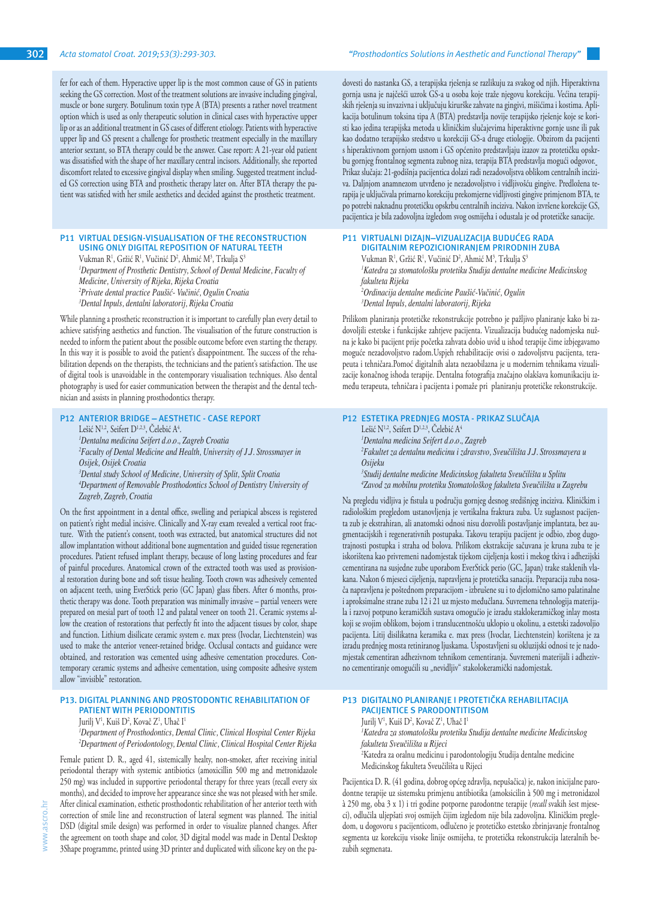fer for each of them. Hyperactive upper lip is the most common cause of GS in patients seeking the GS correction. Most of the treatment solutions are invasive including gingival, muscle or bone surgery. Botulinum toxin type A (BTA) presents a rather novel treatment option which is used as only therapeutic solution in clinical cases with hyperactive upper lip or as an additional treatment in GS cases of different etiology. Patients with hyperactive upper lip and GS present a challenge for prosthetic treatment especially in the maxillary anterior sextant, so BTA therapy could be the answer. Case report: A 21-year old patient was dissatisfied with the shape of her maxillary central incisors. Additionally, she reported discomfort related to excessive gingival display when smiling. Suggested treatment included GS correction using BTA and prosthetic therapy later on. After BTA therapy the patient was satisfied with her smile aesthetics and decided against the prosthetic treatment.

## **P11 VIRTUAL DESIGN-VISUALISATION OF THE RECONSTRUCTION USING ONLY DIGITAL REPOSITION OF NATURAL TEETH**

Vukman R<sup>1</sup>, Gržić R<sup>1</sup>, Vučinić D<sup>2</sup>, Ahmić M<sup>3</sup>, Trkulja S<sup>3</sup> *1 Department of Prosthetic Dentistry, School of Dental Medicine, Faculty of Medicine, University of Rijeka, Rijeka Croatia 2 Private dental practice Paušić- Vučinić, Ogulin Croatia 3 Dental Inpuls, dentalni laboratorij, Rijeka Croatia*

While planning a prosthetic reconstruction it is important to carefully plan every detail to achieve satisfying aesthetics and function. The visualisation of the future construction is needed to inform the patient about the possible outcome before even starting the therapy. In this way it is possible to avoid the patient's disappointment. The success of the rehabilitation depends on the therapists, the technicians and the patient's satisfaction. The use of digital tools is unavoidable in the contemporary visualisation techniques. Also dental photography is used for easier communication between the therapist and the dental technician and assists in planning prosthodontics therapy.

# **P12 ANTERIOR BRIDGE – AESTHETIC - CASE REPORT**

Lešić N<sup>1,2</sup>, Seifert D<sup>1,2,3</sup>, Celebić A<sup>4</sup>.

*1 Dentalna medicina Seifert d.o.o., Zagreb Croatia*

*2 Faculty of Dental Medicine and Health, University of J.J. Strossmayer in Osijek, Osijek Croatia*

*3 Dental study School of Medicine, University of Split, Split Croatia*

*4 Department of Removable Prosthodontics School of Dentistry University of Zagreb, Zagreb, Croatia*

On the first appointment in a dental office, swelling and periapical abscess is registered on patient's right medial incisive. Clinically and X-ray exam revealed a vertical root fracture. With the patient's consent, tooth was extracted, but anatomical structures did not allow implantation without additional bone augmentation and guided tissue regeneration procedures. Patient refused implant therapy, because of long lasting procedures and fear of painful procedures. Anatomical crown of the extracted tooth was used as provisional restoration during bone and soft tissue healing. Tooth crown was adhesively cemented on adjacent teeth, using EverStick perio (GC Japan) glass fibers. After 6 months, prosthetic therapy was done. Tooth preparation was minimally invasive – partial veneers were prepared on mesial part of tooth 12 and palatal veneer on tooth 21. Ceramic systems allow the creation of restorations that perfectly fit into the adjacent tissues by color, shape and function. Lithium disilicate ceramic system e. max press (Ivoclar, Liechtenstein) was used to make the anterior veneer-retained bridge. Occlusal contacts and guidance were obtained, and restoration was cemented using adhesive cementation procedures. Contemporary ceramic systems and adhesive cementation, using composite adhesive system allow "invisible" restoration.

# **P13. DIGITAL PLANNING AND PROSTODONTIC REHABILITATION OF PATIENT WITH PERIODONTITIS**

Jurilj V', Kuiš D², Kovač Z', Uhač I'

*1 Department of Prosthodontics, Dental Clinic, Clinical Hospital Center Rijeka 2 Department of Periodontology, Dental Clinic, Clinical Hospital Center Rijeka* 

Female patient D. R., aged 41, sistemically healty, non-smoker, after receiving initial periodontal therapy with systemic antibiotics (amoxicillin 500 mg and metronidazole 250 mg) was included in supportive periodontal therapy for three years (recall every six months), and decided to improve her appearance since she was not pleased with her smile. After clinical examination, esthetic prosthodontic rehabilitation of her anterior teeth with correction of smile line and reconstruction of lateral segment was planned. The initial DSD (digital smile design) was performed in order to visualize planned changes. After the agreement on tooth shape and color, 3D digital model was made in Dental Desktop 3Shape programme, printed using 3D printer and duplicated with silicone key on the padovesti do nastanka GS, a terapijska rješenja se razlikuju za svakog od njih. Hiperaktivna gornja usna je najčešći uzrok GS-a u osoba koje traže njegovu korekciju. Većina terapijskih rješenja su invazivna i uključuju kirurške zahvate na gingivi, mišićima i kostima. Aplikacija botulinum toksina tipa A (BTA) predstavlja novije terapijsko rješenje koje se koristi kao jedina terapijska metoda u kliničkim slučajevima hiperaktivne gornje usne ili pak kao dodatno terapijsko sredstvo u korekciji GS-a druge etiologije. Obzirom da pacijenti s hiperaktivnom gornjom usnom i GS općenito predstavljaju izazov za protetičku opskrbu gornjeg frontalnog segmenta zubnog niza, terapija BTA predstavlja mogući odgovor. Prikaz slučaja: 21-godišnja pacijentica dolazi radi nezadovoljstva oblikom centralnih inciziva. Daljnjom anamnezom utvrđeno je nezadovoljstvo i vidljivošću gingive. Predložena terapija je uključivala primarno korekciju prekomjerne vidljivosti gingive primjenom BTA, te po potrebi naknadnu protetičku opskrbu centralnih inciziva. Nakon izvršene korekcije GS, pacijentica je bila zadovoljna izgledom svog osmijeha i odustala je od protetičke sanacije.

#### **P11 VIRTUALNI DIZAJN–VIZUALIZACIJA BUDUĆEG RADA DIGITALNIM REPOZICIONIRANJEM PRIRODNIH ZUBA**

Vukman R<sup>1</sup>, Gržić R<sup>1</sup>, Vučinić D<sup>2</sup>, Ahmić M<sup>3</sup>, Trkulja S<sup>3</sup> *1 Katedra za stomatološku protetiku Studija dentalne medicine Medicinskog fakulteta Rijeka 2 Ordinacija dentalne medicine Paušić-Vučinić, Ogulin 3 Dental Inpuls, dentalni laboratorij, Rijeka*

Prilikom planiranja protetičke rekonstrukcije potrebno je pažljivo planiranje kako bi zadovoljili estetske i funkcijske zahtjeve pacijenta. Vizualizacija budućeg nadomjeska nužna je kako bi pacijent prije početka zahvata dobio uvid u ishod terapije čime izbjegavamo moguće nezadovoljstvo radom.Uspjeh rehabilitacije ovisi o zadovoljstvu pacijenta, terapeuta i tehničara.Pomoć digitalnih alata nezaobilazna je u modernim tehnikama vizualizacije konačnog ishoda terapije. Dentalna fotografija značajno olakšava komunikaciju između terapeuta, tehničara i pacijenta i pomaže pri planiranju protetičke rekonstrukcije.

# **P12 ESTETIKA PREDNJEG MOSTA - PRIKAZ SLUČAJA**

Lešić N<sup>1,2</sup>, Seifert D<sup>1,2,3</sup>, Čelebić A<sup>4</sup> *1 Dentalna medicina Seifert d.o.o., Zagreb 2 Fakultet za dentalnu medicinu i zdravstvo, Sveučilišta J.J. Strossmayera u Osijeku 3 Studij dentalne medicine Medicinskog fakulteta Sveučilišta u Splitu*

*4 Zavod za mobilnu protetiku Stomatološkog fakulteta Sveučilišta u Zagrebu*

Na pregledu vidljiva je fistula u području gornjeg desnog središnjeg inciziva. Kliničkim i radiološkim pregledom ustanovljenja je vertikalna fraktura zuba. Uz suglasnost pacijenta zub je ekstrahiran, ali anatomski odnosi nisu dozvolili postavljanje implantata, bez augmentacijskih i regenerativnih postupaka. Takovu terapiju pacijent je odbio, zbog dugotrajnosti postupka i straha od bolova. Prilikom ekstrakcije sačuvana je kruna zuba te je iskorištena kao privremeni nadomjestak tijekom cijeljenja kosti i mekog tkiva i adhezijski cementirana na susjedne zube uporabom EverStick perio (GC, Japan) trake staklenih vlakana. Nakon 6 mjeseci cijeljenja, napravljena je protetička sanacija. Preparacija zuba nosača napravljena je poštednom preparacijom - izbrušene su i to djelomično samo palatinalne i aproksimalne strane zuba 12 i 21 uz mjesto međučlana. Suvremena tehnologija materijala i razvoj potpuno keramičkih sustava omogućio je izradu staklokeramičkog inlay mosta koji se svojim oblikom, bojom i translucentnošću uklopio u okolinu, a estetski zadovoljio pacijenta. Litij disilikatna keramika e. max press (Ivoclar, Liechtenstein) korištena je za izradu prednjeg mosta retiniranog ljuskama. Uspostavljeni su okluzijski odnosi te je nadomjestak cementiran adhezivnom tehnikom cementiranja. Suvremeni materijali i adhezivno cementiranje omogućili su "nevidljiv" stakolokeramički nadomjestak.

# **P13 DIGITALNO PLANIRANJE I PROTETIČKA REHABILITACIJA PACIJENTICE S PARODONTITISOM**

Jurilj V<sup>1</sup>, Kuiš D<sup>2</sup>, Kovač Z<sup>1</sup>, Uhač I<sup>1</sup> *1 Katedra za stomatološku protetiku Studija dentalne medicine Medicinskog fakulteta Sveučilišta u Rijeci*

2 Katedra za oralnu medicinu i parodontologiju Studija dentalne medicine Medicinskog fakulteta Sveučilišta u Rijeci

Pacijentica D. R. (41 godina, dobrog općeg zdravlja, nepušačica) je, nakon inicijalne parodontne terapije uz sistemsku primjenu antibiotika (amoksicilin à 500 mg i metronidazol à 250 mg, oba 3 x 1) i tri godine potporne parodontne terapije (*recall* svakih šest mjeseci), odlučila uljepšati svoj osmijeh čijim izgledom nije bila zadovoljna. Kliničkim pregledom, u dogovoru s pacijenticom, odlučeno je protetičko estetsko zbrinjavanje frontalnog segmenta uz korekciju visoke linije osmijeha, te protetička rekonstrukcija lateralnih bezubih segmenata.